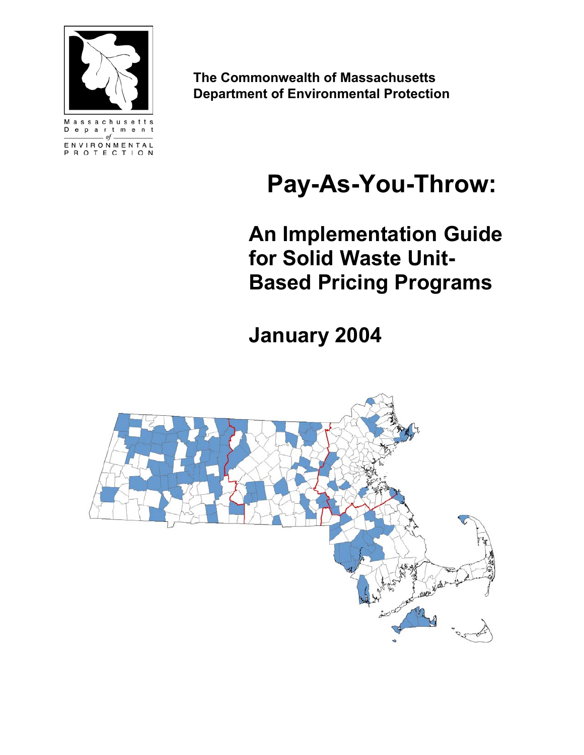

ENVIRONMENTAL ROTECTION  **The Commonwealth of Massachusetts Department of Environmental Protection**

# **Pay-As-You-Throw:**

**An Implementation Guide for Solid Waste Unit-Based Pricing Programs** 

**January 2004** 

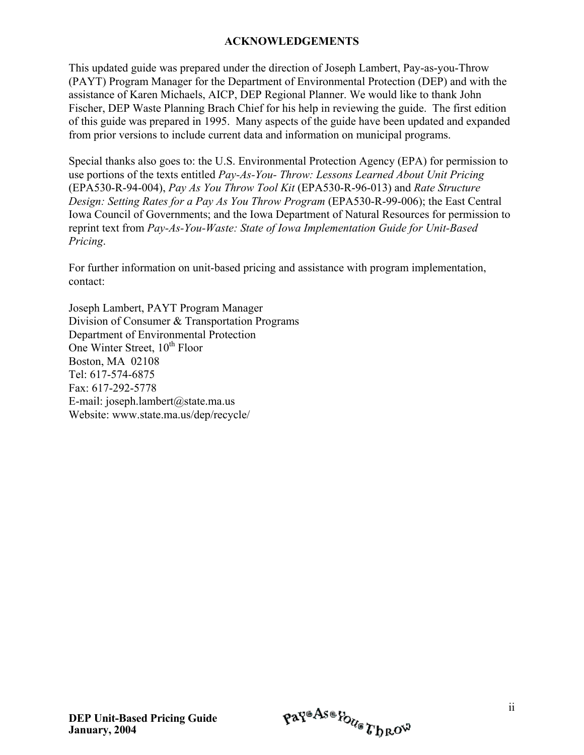#### **ACKNOWLEDGEMENTS**

This updated guide was prepared under the direction of Joseph Lambert, Pay-as-you-Throw (PAYT) Program Manager for the Department of Environmental Protection (DEP) and with the assistance of Karen Michaels, AICP, DEP Regional Planner. We would like to thank John Fischer, DEP Waste Planning Brach Chief for his help in reviewing the guide. The first edition of this guide was prepared in 1995. Many aspects of the guide have been updated and expanded from prior versions to include current data and information on municipal programs.

Special thanks also goes to: the U.S. Environmental Protection Agency (EPA) for permission to use portions of the texts entitled *Pay-As-You- Throw: Lessons Learned About Unit Pricing*  (EPA530-R-94-004), *Pay As You Throw Tool Kit* (EPA530-R-96-013) and *Rate Structure Design: Setting Rates for a Pay As You Throw Program* (EPA530-R-99-006); the East Central Iowa Council of Governments; and the Iowa Department of Natural Resources for permission to reprint text from *Pay-As-You-Waste: State of Iowa Implementation Guide for Unit-Based Pricing*.

For further information on unit-based pricing and assistance with program implementation, contact:

Joseph Lambert, PAYT Program Manager Division of Consumer & Transportation Programs Department of Environmental Protection One Winter Street,  $10^{th}$  Floor Boston, MA 02108 Tel: 617-574-6875 Fax: 617-292-5778 E-mail: joseph.lambert@state.ma.us Website: www.state.ma.us/dep/recycle/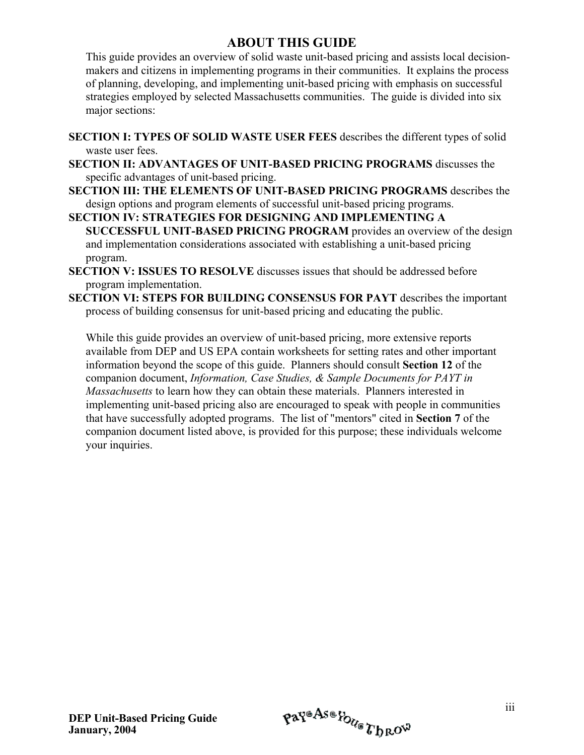#### **ABOUT THIS GUIDE**

This guide provides an overview of solid waste unit-based pricing and assists local decisionmakers and citizens in implementing programs in their communities. It explains the process of planning, developing, and implementing unit-based pricing with emphasis on successful strategies employed by selected Massachusetts communities. The guide is divided into six major sections:

- **SECTION I: TYPES OF SOLID WASTE USER FEES** describes the different types of solid waste user fees.
- **SECTION II: ADVANTAGES OF UNIT-BASED PRICING PROGRAMS** discusses the specific advantages of unit-based pricing.
- **SECTION III: THE ELEMENTS OF UNIT-BASED PRICING PROGRAMS** describes the design options and program elements of successful unit-based pricing programs.
- **SECTION IV: STRATEGIES FOR DESIGNING AND IMPLEMENTING A SUCCESSFUL UNIT-BASED PRICING PROGRAM** provides an overview of the design and implementation considerations associated with establishing a unit-based pricing program.
- **SECTION V: ISSUES TO RESOLVE** discusses issues that should be addressed before program implementation.
- **SECTION VI: STEPS FOR BUILDING CONSENSUS FOR PAYT** describes the important process of building consensus for unit-based pricing and educating the public.

While this guide provides an overview of unit-based pricing, more extensive reports available from DEP and US EPA contain worksheets for setting rates and other important information beyond the scope of this guide. Planners should consult **Section 12** of the companion document, *Information, Case Studies, & Sample Documents for PAYT in Massachusetts* to learn how they can obtain these materials. Planners interested in implementing unit-based pricing also are encouraged to speak with people in communities that have successfully adopted programs. The list of "mentors" cited in **Section 7** of the companion document listed above, is provided for this purpose; these individuals welcome your inquiries.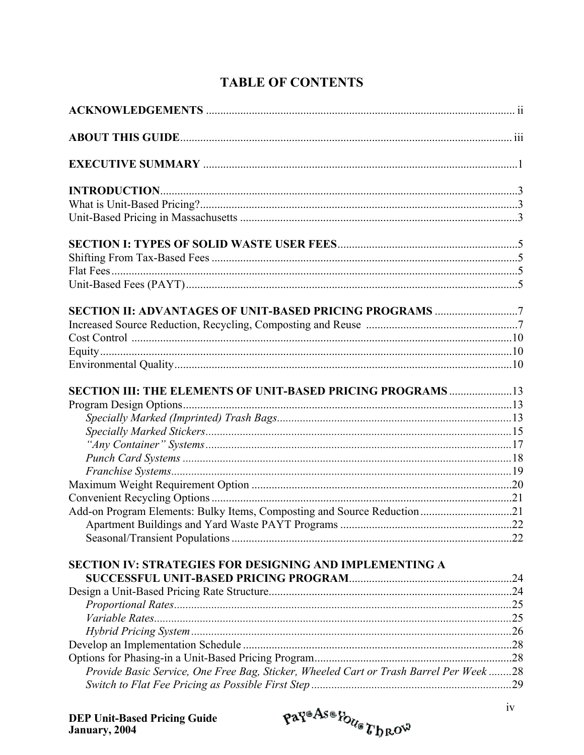# **TABLE OF CONTENTS**

| SECTION III: THE ELEMENTS OF UNIT-BASED PRICING PROGRAMS  13                           |  |
|----------------------------------------------------------------------------------------|--|
|                                                                                        |  |
|                                                                                        |  |
|                                                                                        |  |
|                                                                                        |  |
|                                                                                        |  |
|                                                                                        |  |
|                                                                                        |  |
|                                                                                        |  |
| Add-on Program Elements: Bulky Items, Composting and Source Reduction21                |  |
|                                                                                        |  |
|                                                                                        |  |
| SECTION IV: STRATEGIES FOR DESIGNING AND IMPLEMENTING A                                |  |
|                                                                                        |  |
|                                                                                        |  |
|                                                                                        |  |
|                                                                                        |  |
|                                                                                        |  |
|                                                                                        |  |
|                                                                                        |  |
| Provide Basic Service, One Free Bag, Sticker, Wheeled Cart or Trash Barrel Per Week 28 |  |
|                                                                                        |  |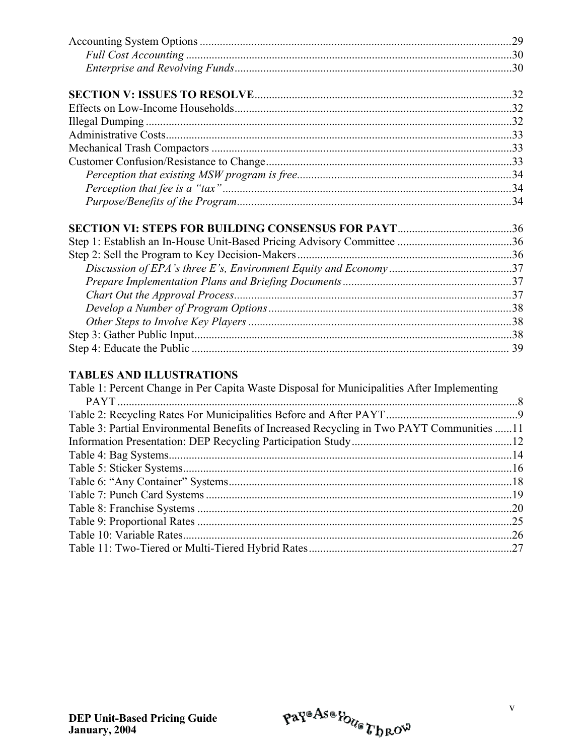### **TABLES AND ILLUSTRATIONS**

| Table 1: Percent Change in Per Capita Waste Disposal for Municipalities After Implementing |     |
|--------------------------------------------------------------------------------------------|-----|
|                                                                                            |     |
|                                                                                            |     |
| Table 3: Partial Environmental Benefits of Increased Recycling in Two PAYT Communities 11  |     |
|                                                                                            |     |
|                                                                                            |     |
|                                                                                            |     |
|                                                                                            |     |
|                                                                                            |     |
|                                                                                            | .20 |
|                                                                                            | .25 |
|                                                                                            | .26 |
|                                                                                            |     |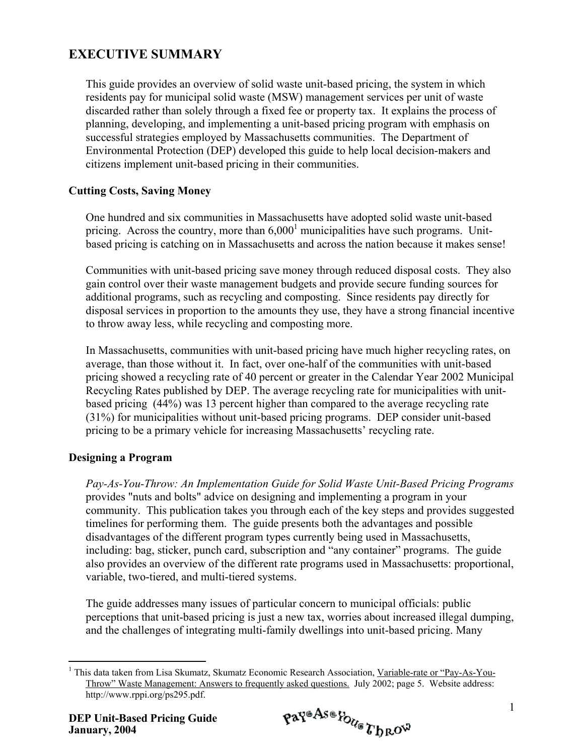# **EXECUTIVE SUMMARY**

This guide provides an overview of solid waste unit-based pricing, the system in which residents pay for municipal solid waste (MSW) management services per unit of waste discarded rather than solely through a fixed fee or property tax. It explains the process of planning, developing, and implementing a unit-based pricing program with emphasis on successful strategies employed by Massachusetts communities. The Department of Environmental Protection (DEP) developed this guide to help local decision-makers and citizens implement unit-based pricing in their communities.

#### **Cutting Costs, Saving Money**

One hundred and six communities in Massachusetts have adopted solid waste unit-based pricing. Across the country, more than  $6,000<sup>1</sup>$  municipalities have such programs. Unitbased pricing is catching on in Massachusetts and across the nation because it makes sense!

Communities with unit-based pricing save money through reduced disposal costs. They also gain control over their waste management budgets and provide secure funding sources for additional programs, such as recycling and composting. Since residents pay directly for disposal services in proportion to the amounts they use, they have a strong financial incentive to throw away less, while recycling and composting more.

In Massachusetts, communities with unit-based pricing have much higher recycling rates, on average, than those without it. In fact, over one-half of the communities with unit-based pricing showed a recycling rate of 40 percent or greater in the Calendar Year 2002 Municipal Recycling Rates published by DEP. The average recycling rate for municipalities with unitbased pricing (44%) was 13 percent higher than compared to the average recycling rate (31%) for municipalities without unit-based pricing programs. DEP consider unit-based pricing to be a primary vehicle for increasing Massachusetts' recycling rate.

#### **Designing a Program**

*Pay-As-You-Throw: An Implementation Guide for Solid Waste Unit-Based Pricing Programs* provides "nuts and bolts" advice on designing and implementing a program in your community. This publication takes you through each of the key steps and provides suggested timelines for performing them. The guide presents both the advantages and possible disadvantages of the different program types currently being used in Massachusetts, including: bag, sticker, punch card, subscription and "any container" programs. The guide also provides an overview of the different rate programs used in Massachusetts: proportional, variable, two-tiered, and multi-tiered systems.

The guide addresses many issues of particular concern to municipal officials: public perceptions that unit-based pricing is just a new tax, worries about increased illegal dumping, and the challenges of integrating multi-family dwellings into unit-based pricing. Many

$$
\mathfrak{p} \mathfrak{a} \mathfrak{p}^{\mathfrak{a} \mathfrak{A} \mathfrak{s} \mathfrak{a}} \mathfrak{p}_{\mathcal{U}_{\mathfrak{S}}} \mathfrak{p}_{\mathfrak{h} \mathfrak{R} \mathfrak{O}^{\mathfrak{W}}}
$$

<span id="page-6-0"></span> $\overline{a}$ <sup>1</sup> This data taken from Lisa Skumatz, Skumatz Economic Research Association, Variable-rate or "Pay-As-You-Throw" Waste Management: Answers to frequently asked questions. July 2002; page 5. Website address: http://www.rppi.org/ps295.pdf.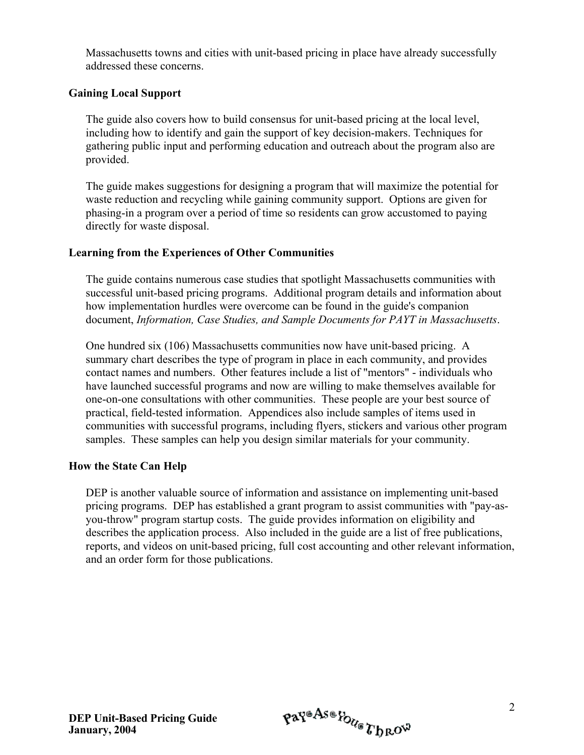Massachusetts towns and cities with unit-based pricing in place have already successfully addressed these concerns.

#### **Gaining Local Support**

The guide also covers how to build consensus for unit-based pricing at the local level, including how to identify and gain the support of key decision-makers. Techniques for gathering public input and performing education and outreach about the program also are provided.

The guide makes suggestions for designing a program that will maximize the potential for waste reduction and recycling while gaining community support. Options are given for phasing-in a program over a period of time so residents can grow accustomed to paying directly for waste disposal.

#### **Learning from the Experiences of Other Communities**

The guide contains numerous case studies that spotlight Massachusetts communities with successful unit-based pricing programs. Additional program details and information about how implementation hurdles were overcome can be found in the guide's companion document, *Information, Case Studies, and Sample Documents for PAYT in Massachusetts*.

One hundred six (106) Massachusetts communities now have unit-based pricing. A summary chart describes the type of program in place in each community, and provides contact names and numbers. Other features include a list of "mentors" - individuals who have launched successful programs and now are willing to make themselves available for one-on-one consultations with other communities. These people are your best source of practical, field-tested information. Appendices also include samples of items used in communities with successful programs, including flyers, stickers and various other program samples. These samples can help you design similar materials for your community.

#### **How the State Can Help**

DEP is another valuable source of information and assistance on implementing unit-based pricing programs. DEP has established a grant program to assist communities with "pay-asyou-throw" program startup costs. The guide provides information on eligibility and describes the application process. Also included in the guide are a list of free publications, reports, and videos on unit-based pricing, full cost accounting and other relevant information, and an order form for those publications.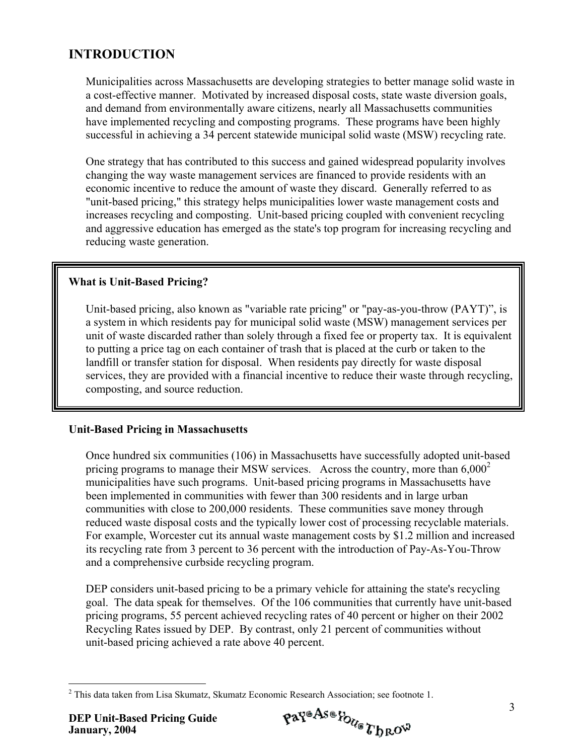# **INTRODUCTION**

Municipalities across Massachusetts are developing strategies to better manage solid waste in a cost-effective manner. Motivated by increased disposal costs, state waste diversion goals, and demand from environmentally aware citizens, nearly all Massachusetts communities have implemented recycling and composting programs. These programs have been highly successful in achieving a 34 percent statewide municipal solid waste (MSW) recycling rate.

One strategy that has contributed to this success and gained widespread popularity involves changing the way waste management services are financed to provide residents with an economic incentive to reduce the amount of waste they discard. Generally referred to as "unit-based pricing," this strategy helps municipalities lower waste management costs and increases recycling and composting. Unit-based pricing coupled with convenient recycling and aggressive education has emerged as the state's top program for increasing recycling and reducing waste generation.

#### **What is Unit-Based Pricing?**

 Unit-based pricing, also known as "variable rate pricing" or "pay-as-you-throw (PAYT)", is a system in which residents pay for municipal solid waste (MSW) management services per unit of waste discarded rather than solely through a fixed fee or property tax. It is equivalent to putting a price tag on each container of trash that is placed at the curb or taken to the landfill or transfer station for disposal. When residents pay directly for waste disposal services, they are provided with a financial incentive to reduce their waste through recycling, composting, and source reduction.

#### **Unit-Based Pricing in Massachusetts**

Once hundred six communities (106) in Massachusetts have successfully adopted unit-based pricing programs to manage their MSW services. Across the country, more than  $6,000<sup>2</sup>$ municipalities have such programs. Unit-based pricing programs in Massachusetts have been implemented in communities with fewer than 300 residents and in large urban communities with close to 200,000 residents. These communities save money through reduced waste disposal costs and the typically lower cost of processing recyclable materials. For example, Worcester cut its annual waste management costs by \$1.2 million and increased its recycling rate from 3 percent to 36 percent with the introduction of Pay-As-You-Throw and a comprehensive curbside recycling program.

DEP considers unit-based pricing to be a primary vehicle for attaining the state's recycling goal. The data speak for themselves. Of the 106 communities that currently have unit-based pricing programs, 55 percent achieved recycling rates of 40 percent or higher on their 2002 Recycling Rates issued by DEP. By contrast, only 21 percent of communities without unit-based pricing achieved a rate above 40 percent.

<span id="page-8-0"></span><sup>&</sup>lt;u>.</u> <sup>2</sup> This data taken from Lisa Skumatz, Skumatz Economic Research Association; see footnote 1.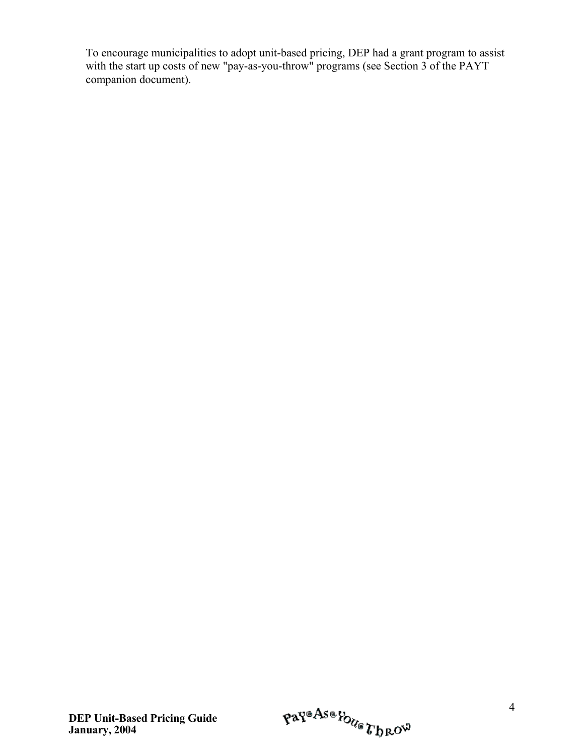To encourage municipalities to adopt unit-based pricing, DEP had a grant program to assist with the start up costs of new "pay-as-you-throw" programs (see Section 3 of the PAYT companion document).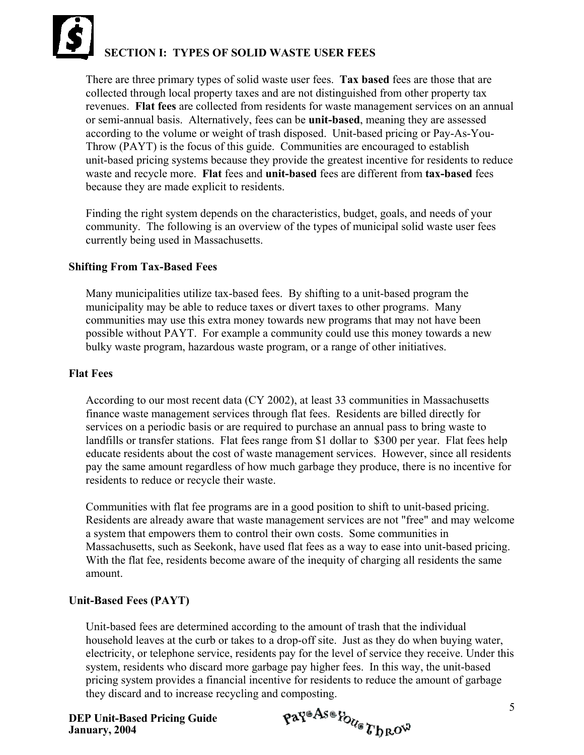# **SECTION I: TYPES OF SOLID WASTE USER FEES**

There are three primary types of solid waste user fees. **Tax based** fees are those that are collected through local property taxes and are not distinguished from other property tax revenues. **Flat fees** are collected from residents for waste management services on an annual or semi-annual basis. Alternatively, fees can be **unit-based**, meaning they are assessed according to the volume or weight of trash disposed. Unit-based pricing or Pay-As-You-Throw (PAYT) is the focus of this guide. Communities are encouraged to establish unit-based pricing systems because they provide the greatest incentive for residents to reduce waste and recycle more. **Flat** fees and **unit-based** fees are different from **tax-based** fees because they are made explicit to residents.

Finding the right system depends on the characteristics, budget, goals, and needs of your community. The following is an overview of the types of municipal solid waste user fees currently being used in Massachusetts.

#### **Shifting From Tax-Based Fees**

Many municipalities utilize tax-based fees. By shifting to a unit-based program the municipality may be able to reduce taxes or divert taxes to other programs. Many communities may use this extra money towards new programs that may not have been possible without PAYT. For example a community could use this money towards a new bulky waste program, hazardous waste program, or a range of other initiatives.

#### **Flat Fees**

According to our most recent data (CY 2002), at least 33 communities in Massachusetts finance waste management services through flat fees. Residents are billed directly for services on a periodic basis or are required to purchase an annual pass to bring waste to landfills or transfer stations. Flat fees range from \$1 dollar to \$300 per year. Flat fees help educate residents about the cost of waste management services. However, since all residents pay the same amount regardless of how much garbage they produce, there is no incentive for residents to reduce or recycle their waste.

Communities with flat fee programs are in a good position to shift to unit-based pricing. Residents are already aware that waste management services are not "free" and may welcome a system that empowers them to control their own costs. Some communities in Massachusetts, such as Seekonk, have used flat fees as a way to ease into unit-based pricing. With the flat fee, residents become aware of the inequity of charging all residents the same amount.

#### **Unit-Based Fees (PAYT)**

Unit-based fees are determined according to the amount of trash that the individual household leaves at the curb or takes to a drop-off site. Just as they do when buying water, electricity, or telephone service, residents pay for the level of service they receive. Under this system, residents who discard more garbage pay higher fees. In this way, the unit-based pricing system provides a financial incentive for residents to reduce the amount of garbage they discard and to increase recycling and composting.

$$
\mathfrak{p} \mathfrak{a} \mathfrak{r}^{\mathfrak{a} \mathfrak{A} \mathfrak{a} \mathfrak{a}} \mathfrak{p}_{\mathcal{U}_{\mathfrak{a}}} \mathfrak{r}_{\mathfrak{b} \mathfrak{b} \mathfrak{c}^{\mathfrak{c} \mathfrak{b}}}
$$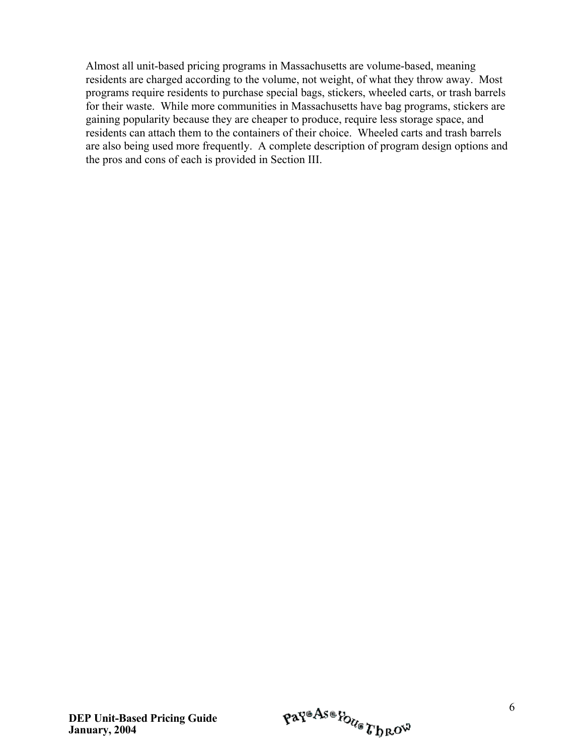Almost all unit-based pricing programs in Massachusetts are volume-based, meaning residents are charged according to the volume, not weight, of what they throw away. Most programs require residents to purchase special bags, stickers, wheeled carts, or trash barrels for their waste. While more communities in Massachusetts have bag programs, stickers are gaining popularity because they are cheaper to produce, require less storage space, and residents can attach them to the containers of their choice. Wheeled carts and trash barrels are also being used more frequently. A complete description of program design options and the pros and cons of each is provided in Section III.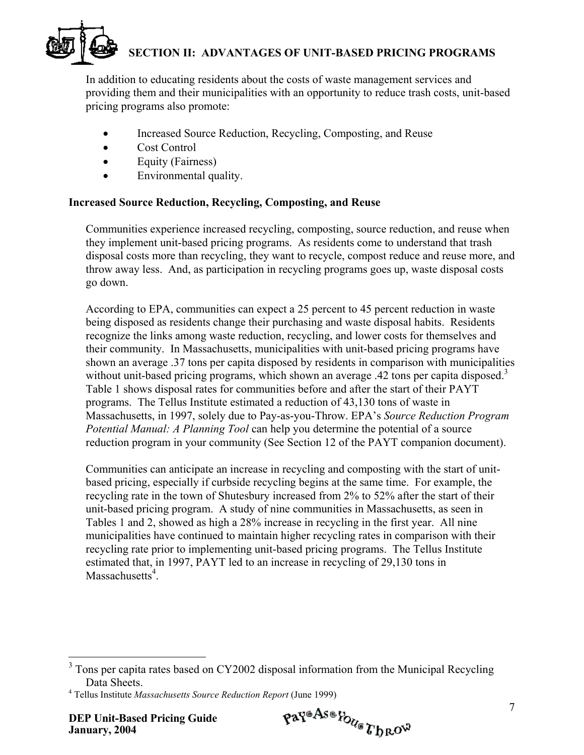# **SECTION II: ADVANTAGES OF UNIT-BASED PRICING PROGRAMS**

In addition to educating residents about the costs of waste management services and providing them and their municipalities with an opportunity to reduce trash costs, unit-based pricing programs also promote:

- Increased Source Reduction, Recycling, Composting, and Reuse
- Cost Control
- Equity (Fairness)
- Environmental quality.

#### **Increased Source Reduction, Recycling, Composting, and Reuse**

Communities experience increased recycling, composting, source reduction, and reuse when they implement unit-based pricing programs. As residents come to understand that trash disposal costs more than recycling, they want to recycle, compost reduce and reuse more, and throw away less. And, as participation in recycling programs goes up, waste disposal costs go down.

According to EPA, communities can expect a 25 percent to 45 percent reduction in waste being disposed as residents change their purchasing and waste disposal habits. Residents recognize the links among waste reduction, recycling, and lower costs for themselves and their community. In Massachusetts, municipalities with unit-based pricing programs have shown an average .37 tons per capita disposed by residents in comparison with municipalities without unit-based pricing programs, which shown an average .42 tons per capita disposed.<sup>[3](#page-12-0)</sup> Table 1 shows disposal rates for communities before and after the start of their PAYT programs. The Tellus Institute estimated a reduction of 43,130 tons of waste in Massachusetts, in 1997, solely due to Pay-as-you-Throw. EPA's *Source Reduction Program Potential Manual: A Planning Tool* can help you determine the potential of a source reduction program in your community (See Section 12 of the PAYT companion document).

Communities can anticipate an increase in recycling and composting with the start of unitbased pricing, especially if curbside recycling begins at the same time. For example, the recycling rate in the town of Shutesbury increased from 2% to 52% after the start of their unit-based pricing program. A study of nine communities in Massachusetts, as seen in Tables 1 and 2, showed as high a 28% increase in recycling in the first year. All nine municipalities have continued to maintain higher recycling rates in comparison with their recycling rate prior to implementing unit-based pricing programs. The Tellus Institute estimated that, in 1997, PAYT led to an increase in recycling of 29,130 tons in Massachusetts<sup>4</sup>.

<span id="page-12-0"></span><sup>&</sup>lt;sup>3</sup> Tons per capita rates based on CY2002 disposal information from the Municipal Recycling Data Sheets.

<span id="page-12-1"></span><sup>4</sup> Tellus Institute *Massachusetts Source Reduction Report* (June 1999)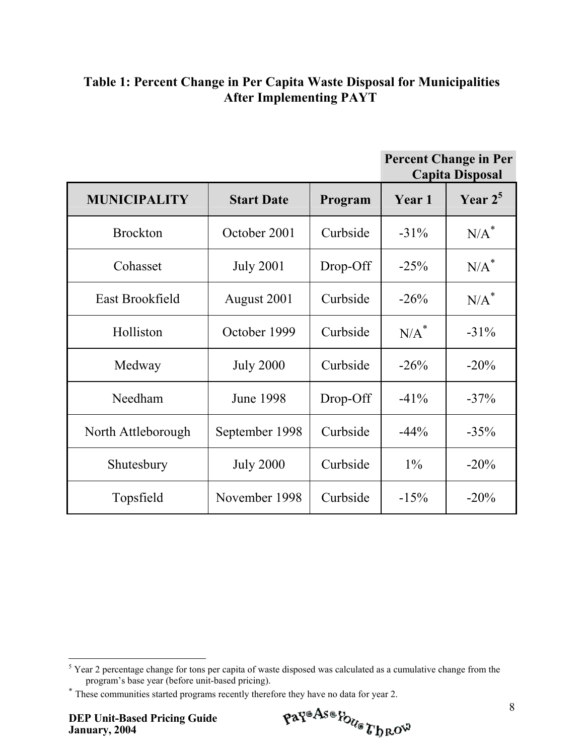# **Table 1: Percent Change in Per Capita Waste Disposal for Municipalities After Implementing PAYT**

|                     |                   |          |         | <b>Percent Change in Per</b><br><b>Capita Disposal</b> |
|---------------------|-------------------|----------|---------|--------------------------------------------------------|
| <b>MUNICIPALITY</b> | <b>Start Date</b> | Program  | Year 1  | Year $2^5$                                             |
| <b>Brockton</b>     | October 2001      | Curbside | $-31\%$ | $N/A^*$                                                |
| Cohasset            | <b>July 2001</b>  | Drop-Off | $-25%$  | $N/A^*$                                                |
| East Brookfield     | August 2001       | Curbside | $-26%$  | $N/A^*$                                                |
| Holliston           | October 1999      | Curbside | $N/A^*$ | $-31\%$                                                |
| Medway              | <b>July 2000</b>  | Curbside | $-26%$  | $-20\%$                                                |
| Needham             | <b>June 1998</b>  | Drop-Off | $-41\%$ | $-37\%$                                                |
| North Attleborough  | September 1998    | Curbside | $-44%$  | $-35%$                                                 |
| Shutesbury          | <b>July 2000</b>  | Curbside | $1\%$   | $-20\%$                                                |
| Topsfield           | November 1998     | Curbside | $-15%$  | $-20\%$                                                |

$$
\mathfrak{p} \mathfrak{a} \mathfrak{p}^{\mathfrak{a} \mathfrak{A} \mathfrak{s} \mathfrak{a}} \mathfrak{p}_{\mathcal{U}_{\mathfrak{G}}} \mathfrak{r}_{\mathfrak{h} \mathfrak{R} \mathfrak{O}^{\mathfrak{Q}}}
$$

<span id="page-13-0"></span><sup>&</sup>lt;sup>5</sup> Year 2 percentage change for tons per capita of waste disposed was calculated as a cumulative change from the program's base year (before unit-based pricing).

<span id="page-13-1"></span><sup>∗</sup> These communities started programs recently therefore they have no data for year 2.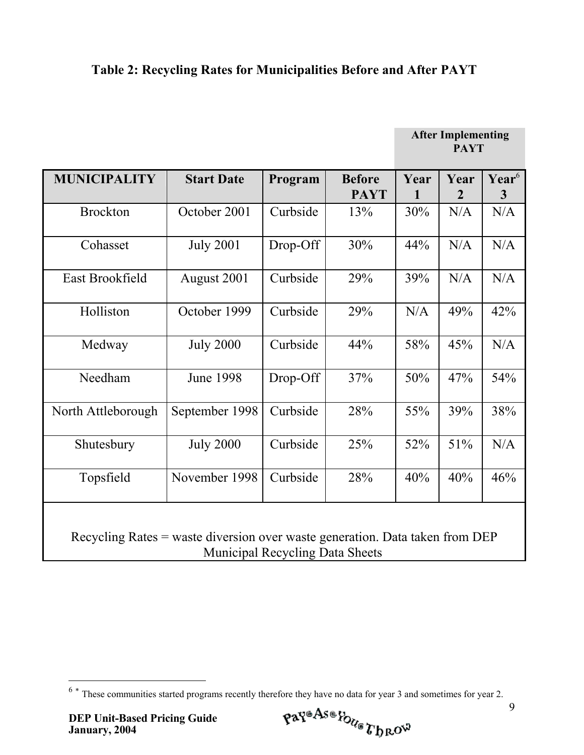# **Table 2: Recycling Rates for Municipalities Before and After PAYT**

|                                                                                                                        |                   |          |                              |                      | <b>After Implementing</b><br><b>PAYT</b> |                                     |
|------------------------------------------------------------------------------------------------------------------------|-------------------|----------|------------------------------|----------------------|------------------------------------------|-------------------------------------|
| <b>MUNICIPALITY</b>                                                                                                    | <b>Start Date</b> | Program  | <b>Before</b><br><b>PAYT</b> | Year<br>$\mathbf{1}$ | Year<br>$\overline{2}$                   | Year <sup>6</sup><br>$\overline{3}$ |
| <b>Brockton</b>                                                                                                        | October 2001      | Curbside | 13%                          | 30%                  | N/A                                      | N/A                                 |
| Cohasset                                                                                                               | <b>July 2001</b>  | Drop-Off | 30%                          | 44%                  | N/A                                      | N/A                                 |
| East Brookfield                                                                                                        | August 2001       | Curbside | 29%                          | 39%                  | N/A                                      | N/A                                 |
| Holliston                                                                                                              | October 1999      | Curbside | 29%                          | N/A                  | 49%                                      | 42%                                 |
| Medway                                                                                                                 | <b>July 2000</b>  | Curbside | 44%                          | 58%                  | 45%                                      | N/A                                 |
| Needham                                                                                                                | <b>June 1998</b>  | Drop-Off | 37%                          | 50%                  | 47%                                      | 54%                                 |
| North Attleborough                                                                                                     | September 1998    | Curbside | 28%                          | 55%                  | 39%                                      | 38%                                 |
| Shutesbury                                                                                                             | <b>July 2000</b>  | Curbside | 25%                          | 52%                  | 51%                                      | N/A                                 |
| Topsfield                                                                                                              | November 1998     | Curbside | 28%                          | 40%                  | 40%                                      | 46%                                 |
| Recycling Rates = waste diversion over waste generation. Data taken from DEP<br><b>Municipal Recycling Data Sheets</b> |                   |          |                              |                      |                                          |                                     |

 $\overline{a}$ 

<span id="page-14-0"></span> $6 *$  These communities started programs recently therefore they have no data for year 3 and sometimes for year 2.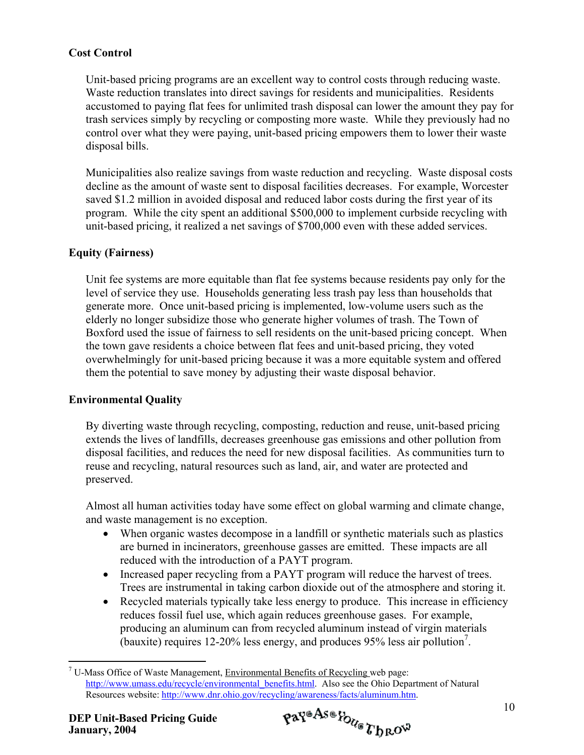#### **Cost Control**

Unit-based pricing programs are an excellent way to control costs through reducing waste. Waste reduction translates into direct savings for residents and municipalities. Residents accustomed to paying flat fees for unlimited trash disposal can lower the amount they pay for trash services simply by recycling or composting more waste. While they previously had no control over what they were paying, unit-based pricing empowers them to lower their waste disposal bills.

Municipalities also realize savings from waste reduction and recycling. Waste disposal costs decline as the amount of waste sent to disposal facilities decreases. For example, Worcester saved \$1.2 million in avoided disposal and reduced labor costs during the first year of its program. While the city spent an additional \$500,000 to implement curbside recycling with unit-based pricing, it realized a net savings of \$700,000 even with these added services.

#### **Equity (Fairness)**

Unit fee systems are more equitable than flat fee systems because residents pay only for the level of service they use. Households generating less trash pay less than households that generate more. Once unit-based pricing is implemented, low-volume users such as the elderly no longer subsidize those who generate higher volumes of trash. The Town of Boxford used the issue of fairness to sell residents on the unit-based pricing concept. When the town gave residents a choice between flat fees and unit-based pricing, they voted overwhelmingly for unit-based pricing because it was a more equitable system and offered them the potential to save money by adjusting their waste disposal behavior.

#### **Environmental Quality**

By diverting waste through recycling, composting, reduction and reuse, unit-based pricing extends the lives of landfills, decreases greenhouse gas emissions and other pollution from disposal facilities, and reduces the need for new disposal facilities. As communities turn to reuse and recycling, natural resources such as land, air, and water are protected and preserved.

Almost all human activities today have some effect on global warming and climate change, and waste management is no exception.

- When organic wastes decompose in a landfill or synthetic materials such as plastics are burned in incinerators, greenhouse gasses are emitted. These impacts are all reduced with the introduction of a PAYT program.
- Increased paper recycling from a PAYT program will reduce the harvest of trees. Trees are instrumental in taking carbon dioxide out of the atmosphere and storing it.
- Recycled materials typically take less energy to produce. This increase in efficiency reduces fossil fuel use, which again reduces greenhouse gases. For example, producing an aluminum can from recycled aluminum instead of virgin materials (bauxite) requires 12-20% less energy, and produces 95% less air pollution<sup>[7](#page-15-0)</sup>.

 $\overline{a}$ 

<span id="page-15-0"></span><sup>&</sup>lt;sup>7</sup> U-Mass Office of Waste Management, Environmental Benefits of Recycling web page: [http://www.umass.edu/recycle/environmental\\_benefits.html.](http://www.umass.edu/recycle/environmental_benefits.html) Also see the Ohio Department of Natural Resources website: <http://www.dnr.ohio.gov/recycling/awareness/facts/aluminum.htm>.<br>P Unit-Based Pricing Guide  $\mathbf{p}^{\mathbf{a}^{\mathbf{v}^{\mathbf{a}}}}$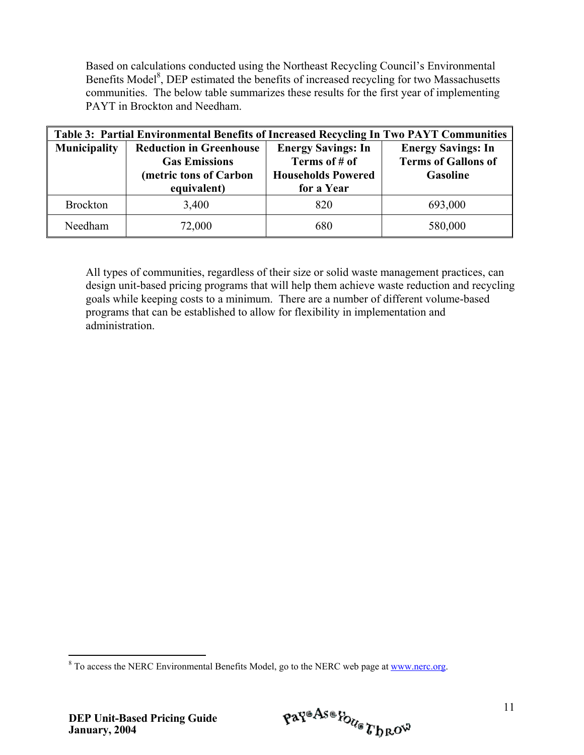Based on calculations conducted using the Northeast Recycling Council's Environmental Benefits Model<sup>[8](#page-16-0)</sup>, DEP estimated the benefits of increased recycling for two Massachusetts communities. The below table summarizes these results for the first year of implementing PAYT in Brockton and Needham.

| <b>Table 3: Partial Environmental Benefits of Increased Recycling In Two PAYT Communities</b> |                                                                                                 |                                                                                       |                                                                     |  |
|-----------------------------------------------------------------------------------------------|-------------------------------------------------------------------------------------------------|---------------------------------------------------------------------------------------|---------------------------------------------------------------------|--|
| <b>Municipality</b>                                                                           | <b>Reduction in Greenhouse</b><br><b>Gas Emissions</b><br>(metric tons of Carbon<br>equivalent) | <b>Energy Savings: In</b><br>Terms of # of<br><b>Households Powered</b><br>for a Year | <b>Energy Savings: In</b><br><b>Terms of Gallons of</b><br>Gasoline |  |
| <b>Brockton</b>                                                                               | 3,400                                                                                           | 820                                                                                   | 693,000                                                             |  |
| Needham                                                                                       | 72,000                                                                                          | 680                                                                                   | 580,000                                                             |  |

All types of communities, regardless of their size or solid waste management practices, can design unit-based pricing programs that will help them achieve waste reduction and recycling goals while keeping costs to a minimum. There are a number of different volume-based programs that can be established to allow for flexibility in implementation and administration.

<span id="page-16-0"></span><sup>&</sup>lt;sup>8</sup> To access the NERC Environmental Benefits Model, go to the NERC web page at [www.nerc.org.](http://www.nerc.org/)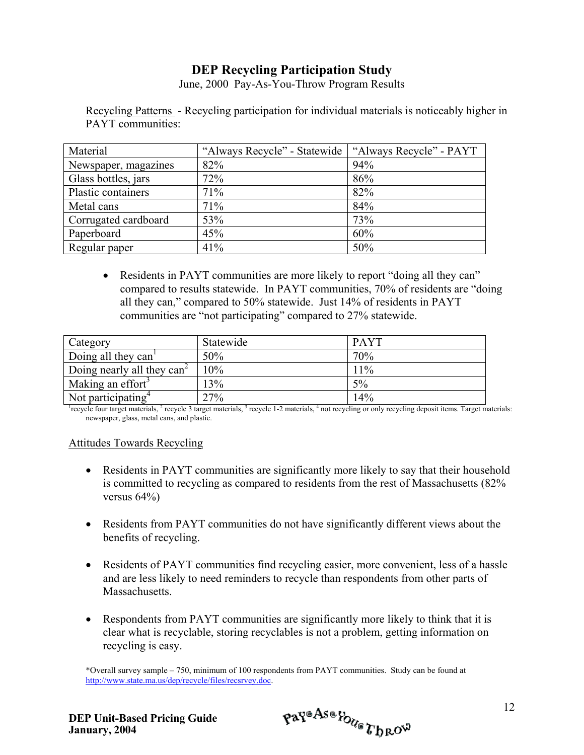# **DEP Recycling Participation Study**

June, 2000 Pay-As-You-Throw Program Results

Recycling Patterns - Recycling participation for individual materials is noticeably higher in PAYT communities:

| Material             | "Always Recycle" - Statewide | "Always Recycle" - PAYT |
|----------------------|------------------------------|-------------------------|
| Newspaper, magazines | 82%                          | 94%                     |
| Glass bottles, jars  | 72%                          | 86%                     |
| Plastic containers   | 71%                          | 82%                     |
| Metal cans           | 71%                          | 84%                     |
| Corrugated cardboard | 53%                          | 73%                     |
| Paperboard           | 45%                          | 60%                     |
| Regular paper        | 41%                          | 50%                     |

• Residents in PAYT communities are more likely to report "doing all they can" compared to results statewide. In PAYT communities, 70% of residents are "doing all they can," compared to 50% statewide. Just 14% of residents in PAYT communities are "not participating" compared to 27% statewide.

| <b>Category</b>                 | Statewide | <b>PAYT</b> |
|---------------------------------|-----------|-------------|
| Doing all they can <sup>1</sup> | 50%       | 70%         |
| Doing nearly all they $can^2$   | 10%       | 11%         |
| Making an effort <sup>3</sup>   | 13%       | 5%          |
| Not participating $4$           | 27%       | 14%         |

<sup>1</sup> recycle four target materials, <sup>2</sup> recycle 3 target materials, <sup>3</sup> recycle 1-2 materials, <sup>4</sup> not recycling or only recycling deposit items. Target materials: newspaper, glass, metal cans, and plastic.

#### Attitudes Towards Recycling

- Residents in PAYT communities are significantly more likely to say that their household is committed to recycling as compared to residents from the rest of Massachusetts (82% versus 64%)
- Residents from PAYT communities do not have significantly different views about the benefits of recycling.
- Residents of PAYT communities find recycling easier, more convenient, less of a hassle and are less likely to need reminders to recycle than respondents from other parts of Massachusetts.
- Respondents from PAYT communities are significantly more likely to think that it is clear what is recyclable, storing recyclables is not a problem, getting information on recycling is easy.

\*Overall survey sample – 750, minimum of 100 respondents from PAYT communities. Study can be found at http://www.state.ma.us/dep/recycle/files/recsrvey.doc.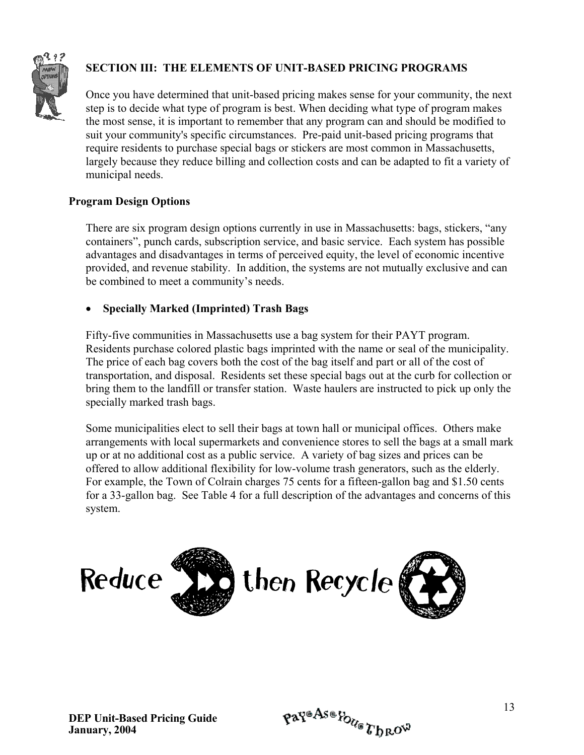

# **SECTION III: THE ELEMENTS OF UNIT-BASED PRICING PROGRAMS**

Once you have determined that unit-based pricing makes sense for your community, the next step is to decide what type of program is best. When deciding what type of program makes the most sense, it is important to remember that any program can and should be modified to suit your community's specific circumstances. Pre-paid unit-based pricing programs that require residents to purchase special bags or stickers are most common in Massachusetts, largely because they reduce billing and collection costs and can be adapted to fit a variety of municipal needs.

#### **Program Design Options**

There are six program design options currently in use in Massachusetts: bags, stickers, "any containers", punch cards, subscription service, and basic service. Each system has possible advantages and disadvantages in terms of perceived equity, the level of economic incentive provided, and revenue stability. In addition, the systems are not mutually exclusive and can be combined to meet a community's needs.

#### • **Specially Marked (Imprinted) Trash Bags**

Fifty-five communities in Massachusetts use a bag system for their PAYT program. Residents purchase colored plastic bags imprinted with the name or seal of the municipality. The price of each bag covers both the cost of the bag itself and part or all of the cost of transportation, and disposal. Residents set these special bags out at the curb for collection or bring them to the landfill or transfer station. Waste haulers are instructed to pick up only the specially marked trash bags.

Some municipalities elect to sell their bags at town hall or municipal offices. Others make arrangements with local supermarkets and convenience stores to sell the bags at a small mark up or at no additional cost as a public service. A variety of bag sizes and prices can be offered to allow additional flexibility for low-volume trash generators, such as the elderly. For example, the Town of Colrain charges 75 cents for a fifteen-gallon bag and \$1.50 cents for a 33-gallon bag. See Table 4 for a full description of the advantages and concerns of this system.

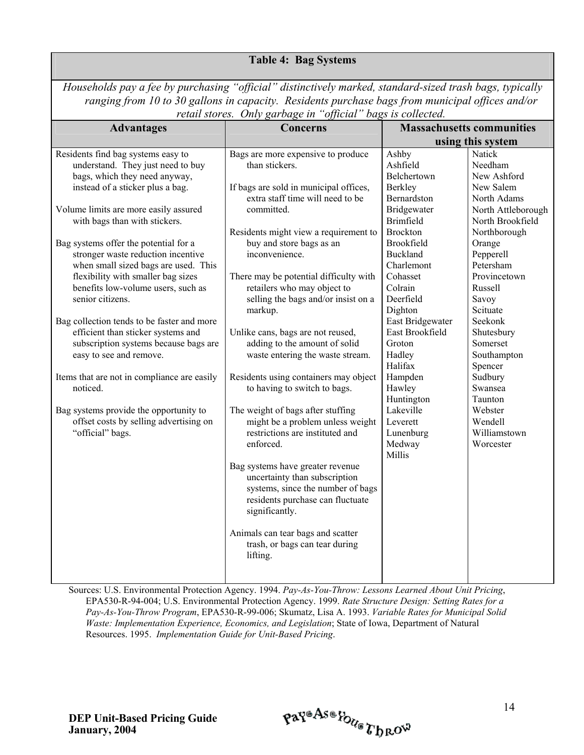#### **Table 4: Bag Systems**

*Households pay a fee by purchasing "official" distinctively marked, standard-sized trash bags, typically ranging from 10 to 30 gallons in capacity. Residents purchase bags from municipal offices and/or retail stores. Only garbage in "official" bags is collected.*

| <b>Advantages</b>                                                                                                                                                                                                                                                                                                                                                                                                                                                                                                                                                                                                                                                                                                                                                        | <b>Concerns</b>                                                                                                                                                                                                                                                                                                                                                                                                                                                                                                                                                                                                                                                                                                                              |                                                                                                                                                                                                                                                                                                                                                                         | <b>Massachusetts communities</b>                                                                                                                                                                                                                                                                                                                              |
|--------------------------------------------------------------------------------------------------------------------------------------------------------------------------------------------------------------------------------------------------------------------------------------------------------------------------------------------------------------------------------------------------------------------------------------------------------------------------------------------------------------------------------------------------------------------------------------------------------------------------------------------------------------------------------------------------------------------------------------------------------------------------|----------------------------------------------------------------------------------------------------------------------------------------------------------------------------------------------------------------------------------------------------------------------------------------------------------------------------------------------------------------------------------------------------------------------------------------------------------------------------------------------------------------------------------------------------------------------------------------------------------------------------------------------------------------------------------------------------------------------------------------------|-------------------------------------------------------------------------------------------------------------------------------------------------------------------------------------------------------------------------------------------------------------------------------------------------------------------------------------------------------------------------|---------------------------------------------------------------------------------------------------------------------------------------------------------------------------------------------------------------------------------------------------------------------------------------------------------------------------------------------------------------|
|                                                                                                                                                                                                                                                                                                                                                                                                                                                                                                                                                                                                                                                                                                                                                                          |                                                                                                                                                                                                                                                                                                                                                                                                                                                                                                                                                                                                                                                                                                                                              |                                                                                                                                                                                                                                                                                                                                                                         | using this system                                                                                                                                                                                                                                                                                                                                             |
| Residents find bag systems easy to<br>understand. They just need to buy<br>bags, which they need anyway,<br>instead of a sticker plus a bag.<br>Volume limits are more easily assured<br>with bags than with stickers.<br>Bag systems offer the potential for a<br>stronger waste reduction incentive<br>when small sized bags are used. This<br>flexibility with smaller bag sizes<br>benefits low-volume users, such as<br>senior citizens.<br>Bag collection tends to be faster and more<br>efficient than sticker systems and<br>subscription systems because bags are<br>easy to see and remove.<br>Items that are not in compliance are easily<br>noticed.<br>Bag systems provide the opportunity to<br>offset costs by selling advertising on<br>"official" bags. | really signed. Only garbage in official bags is conceited.<br>Bags are more expensive to produce<br>than stickers.<br>If bags are sold in municipal offices,<br>extra staff time will need to be<br>committed.<br>Residents might view a requirement to<br>buy and store bags as an<br>inconvenience.<br>There may be potential difficulty with<br>retailers who may object to<br>selling the bags and/or insist on a<br>markup.<br>Unlike cans, bags are not reused,<br>adding to the amount of solid<br>waste entering the waste stream.<br>Residents using containers may object<br>to having to switch to bags.<br>The weight of bags after stuffing<br>might be a problem unless weight<br>restrictions are instituted and<br>enforced. | Ashby<br>Ashfield<br>Belchertown<br>Berkley<br>Bernardston<br>Bridgewater<br><b>Brimfield</b><br><b>Brockton</b><br>Brookfield<br><b>Buckland</b><br>Charlemont<br>Cohasset<br>Colrain<br>Deerfield<br>Dighton<br>East Bridgewater<br>East Brookfield<br>Groton<br>Hadley<br>Halifax<br>Hampden<br>Hawley<br>Huntington<br>Lakeville<br>Leverett<br>Lunenburg<br>Medway | Natick<br>Needham<br>New Ashford<br>New Salem<br>North Adams<br>North Attleborough<br>North Brookfield<br>Northborough<br>Orange<br>Pepperell<br>Petersham<br>Provincetown<br>Russell<br>Savoy<br>Scituate<br>Seekonk<br>Shutesbury<br>Somerset<br>Southampton<br>Spencer<br>Sudbury<br>Swansea<br>Taunton<br>Webster<br>Wendell<br>Williamstown<br>Worcester |
|                                                                                                                                                                                                                                                                                                                                                                                                                                                                                                                                                                                                                                                                                                                                                                          | Bag systems have greater revenue<br>uncertainty than subscription<br>systems, since the number of bags<br>residents purchase can fluctuate<br>significantly.<br>Animals can tear bags and scatter<br>trash, or bags can tear during<br>lifting.                                                                                                                                                                                                                                                                                                                                                                                                                                                                                              | Millis                                                                                                                                                                                                                                                                                                                                                                  |                                                                                                                                                                                                                                                                                                                                                               |

Sources: U.S. Environmental Protection Agency. 1994. *Pay-As-You-Throw: Lessons Learned About Unit Pricing*, EPA530-R-94-004; U.S. Environmental Protection Agency. 1999. *Rate Structure Design: Setting Rates for a Pay-As-You-Throw Program*, EPA530-R-99-006; Skumatz, Lisa A. 1993. *Variable Rates for Municipal Solid Waste: Implementation Experience, Economics, and Legislation*; State of Iowa, Department of Natural Resources. 1995. *Implementation Guide for Unit-Based Pricing*.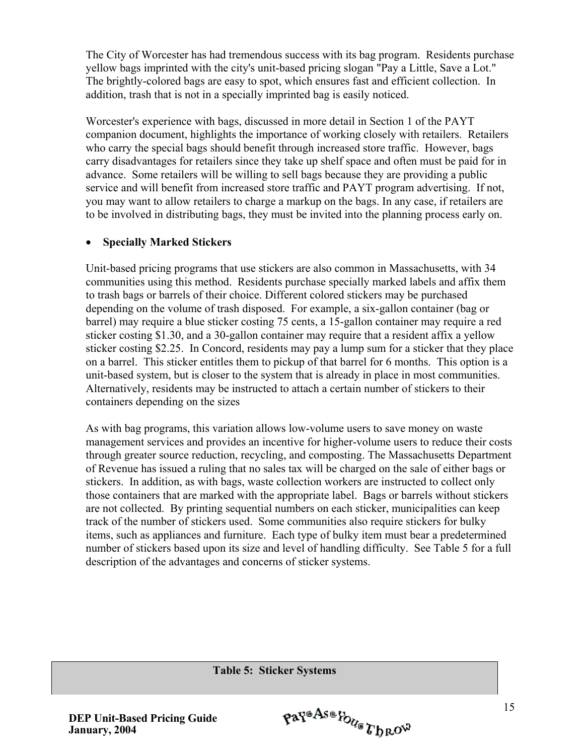The City of Worcester has had tremendous success with its bag program. Residents purchase yellow bags imprinted with the city's unit-based pricing slogan "Pay a Little, Save a Lot." The brightly-colored bags are easy to spot, which ensures fast and efficient collection. In addition, trash that is not in a specially imprinted bag is easily noticed.

Worcester's experience with bags, discussed in more detail in Section 1 of the PAYT companion document, highlights the importance of working closely with retailers. Retailers who carry the special bags should benefit through increased store traffic. However, bags carry disadvantages for retailers since they take up shelf space and often must be paid for in advance. Some retailers will be willing to sell bags because they are providing a public service and will benefit from increased store traffic and PAYT program advertising. If not, you may want to allow retailers to charge a markup on the bags. In any case, if retailers are to be involved in distributing bags, they must be invited into the planning process early on.

#### • **Specially Marked Stickers**

Unit-based pricing programs that use stickers are also common in Massachusetts, with 34 communities using this method. Residents purchase specially marked labels and affix them to trash bags or barrels of their choice. Different colored stickers may be purchased depending on the volume of trash disposed. For example, a six-gallon container (bag or barrel) may require a blue sticker costing 75 cents, a 15-gallon container may require a red sticker costing \$1.30, and a 30-gallon container may require that a resident affix a yellow sticker costing \$2.25. In Concord, residents may pay a lump sum for a sticker that they place on a barrel. This sticker entitles them to pickup of that barrel for 6 months. This option is a unit-based system, but is closer to the system that is already in place in most communities. Alternatively, residents may be instructed to attach a certain number of stickers to their containers depending on the sizes

As with bag programs, this variation allows low-volume users to save money on waste management services and provides an incentive for higher-volume users to reduce their costs through greater source reduction, recycling, and composting. The Massachusetts Department of Revenue has issued a ruling that no sales tax will be charged on the sale of either bags or stickers. In addition, as with bags, waste collection workers are instructed to collect only those containers that are marked with the appropriate label. Bags or barrels without stickers are not collected. By printing sequential numbers on each sticker, municipalities can keep track of the number of stickers used. Some communities also require stickers for bulky items, such as appliances and furniture. Each type of bulky item must bear a predetermined number of stickers based upon its size and level of handling difficulty. See Table 5 for a full description of the advantages and concerns of sticker systems.

**Table 5: Sticker Systems**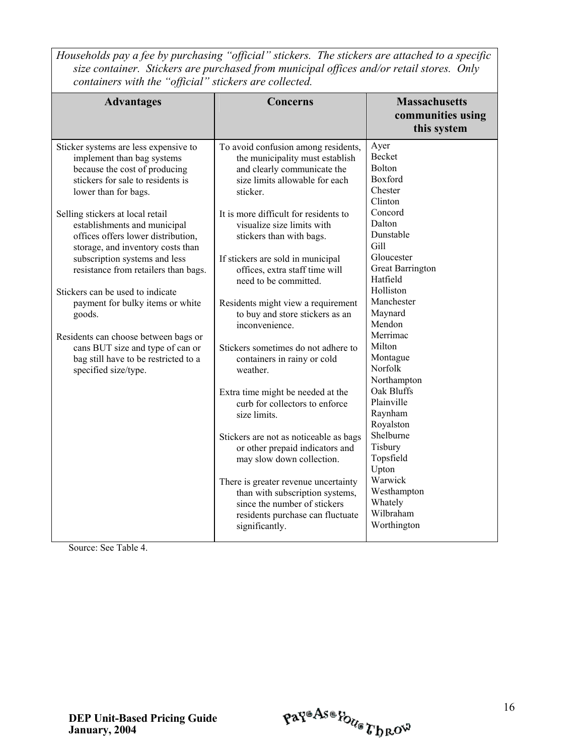*Households pay a fee by purchasing "official" stickers. The stickers are attached to a specific size container. Stickers are purchased from municipal offices and/or retail stores. Only containers with the "official" stickers are collected.*

| <b>Advantages</b>                                                                                                                                                                                                                                                                                                                                 | <b>Concerns</b>                                                                                                                                                                                                                                                                             | <b>Massachusetts</b><br>communities using<br>this system                                                                                            |
|---------------------------------------------------------------------------------------------------------------------------------------------------------------------------------------------------------------------------------------------------------------------------------------------------------------------------------------------------|---------------------------------------------------------------------------------------------------------------------------------------------------------------------------------------------------------------------------------------------------------------------------------------------|-----------------------------------------------------------------------------------------------------------------------------------------------------|
| Sticker systems are less expensive to<br>implement than bag systems<br>because the cost of producing<br>stickers for sale to residents is<br>lower than for bags.<br>Selling stickers at local retail<br>establishments and municipal<br>offices offers lower distribution,<br>storage, and inventory costs than<br>subscription systems and less | To avoid confusion among residents,<br>the municipality must establish<br>and clearly communicate the<br>size limits allowable for each<br>sticker.<br>It is more difficult for residents to<br>visualize size limits with<br>stickers than with bags.<br>If stickers are sold in municipal | Ayer<br><b>Becket</b><br>Bolton<br>Boxford<br>Chester<br>Clinton<br>Concord<br>Dalton<br>Dunstable<br>Gill<br>Gloucester<br><b>Great Barrington</b> |
| resistance from retailers than bags.<br>Stickers can be used to indicate<br>payment for bulky items or white<br>goods.<br>Residents can choose between bags or<br>cans BUT size and type of can or<br>bag still have to be restricted to a<br>specified size/type.                                                                                | offices, extra staff time will<br>need to be committed.<br>Residents might view a requirement<br>to buy and store stickers as an<br>inconvenience.<br>Stickers sometimes do not adhere to<br>containers in rainy or cold<br>weather.                                                        | Hatfield<br>Holliston<br>Manchester<br>Maynard<br>Mendon<br>Merrimac<br>Milton<br>Montague<br>Norfolk                                               |
|                                                                                                                                                                                                                                                                                                                                                   | Extra time might be needed at the<br>curb for collectors to enforce<br>size limits.<br>Stickers are not as noticeable as bags<br>or other prepaid indicators and<br>may slow down collection.                                                                                               | Northampton<br>Oak Bluffs<br>Plainville<br>Raynham<br>Royalston<br>Shelburne<br>Tisbury<br>Topsfield<br>Upton                                       |
|                                                                                                                                                                                                                                                                                                                                                   | There is greater revenue uncertainty<br>than with subscription systems,<br>since the number of stickers<br>residents purchase can fluctuate<br>significantly.                                                                                                                               | Warwick<br>Westhampton<br>Whately<br>Wilbraham<br>Worthington                                                                                       |

Source: See Table 4.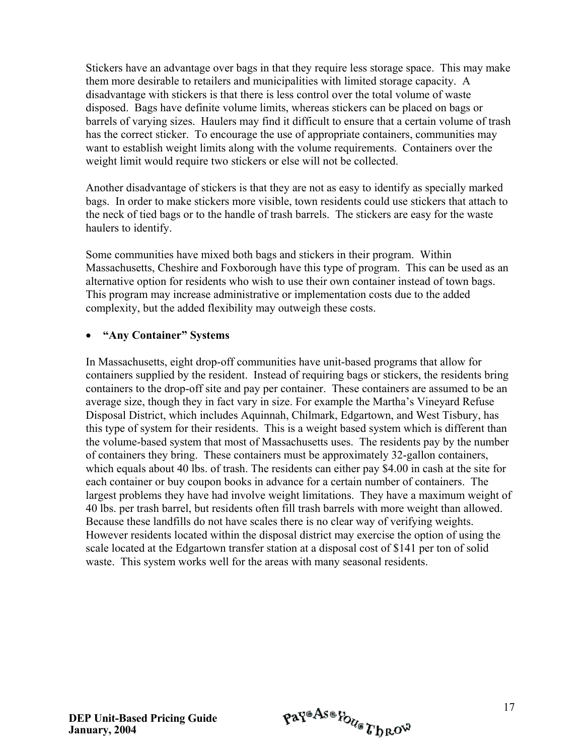Stickers have an advantage over bags in that they require less storage space. This may make them more desirable to retailers and municipalities with limited storage capacity. A disadvantage with stickers is that there is less control over the total volume of waste disposed. Bags have definite volume limits, whereas stickers can be placed on bags or barrels of varying sizes. Haulers may find it difficult to ensure that a certain volume of trash has the correct sticker. To encourage the use of appropriate containers, communities may want to establish weight limits along with the volume requirements. Containers over the weight limit would require two stickers or else will not be collected.

Another disadvantage of stickers is that they are not as easy to identify as specially marked bags. In order to make stickers more visible, town residents could use stickers that attach to the neck of tied bags or to the handle of trash barrels. The stickers are easy for the waste haulers to identify.

Some communities have mixed both bags and stickers in their program. Within Massachusetts, Cheshire and Foxborough have this type of program. This can be used as an alternative option for residents who wish to use their own container instead of town bags. This program may increase administrative or implementation costs due to the added complexity, but the added flexibility may outweigh these costs.

#### • **"Any Container" Systems**

In Massachusetts, eight drop-off communities have unit-based programs that allow for containers supplied by the resident. Instead of requiring bags or stickers, the residents bring containers to the drop-off site and pay per container. These containers are assumed to be an average size, though they in fact vary in size. For example the Martha's Vineyard Refuse Disposal District, which includes Aquinnah, Chilmark, Edgartown, and West Tisbury, has this type of system for their residents. This is a weight based system which is different than the volume-based system that most of Massachusetts uses. The residents pay by the number of containers they bring. These containers must be approximately 32-gallon containers, which equals about 40 lbs. of trash. The residents can either pay \$4.00 in cash at the site for each container or buy coupon books in advance for a certain number of containers. The largest problems they have had involve weight limitations. They have a maximum weight of 40 lbs. per trash barrel, but residents often fill trash barrels with more weight than allowed. Because these landfills do not have scales there is no clear way of verifying weights. However residents located within the disposal district may exercise the option of using the scale located at the Edgartown transfer station at a disposal cost of \$141 per ton of solid waste. This system works well for the areas with many seasonal residents.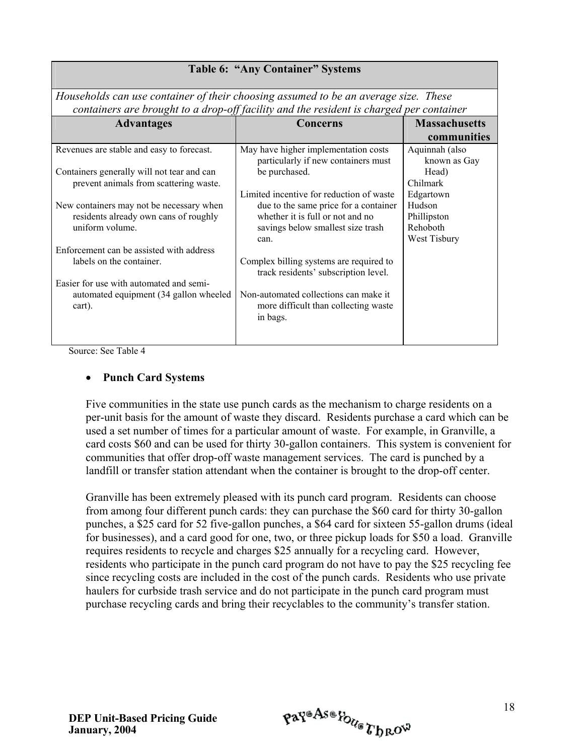| <b>Table 6: "Any Container" Systems</b>                                                                         |                                                                                                                                                                    |                                                                |  |  |  |
|-----------------------------------------------------------------------------------------------------------------|--------------------------------------------------------------------------------------------------------------------------------------------------------------------|----------------------------------------------------------------|--|--|--|
|                                                                                                                 | Households can use container of their choosing assumed to be an average size. These                                                                                |                                                                |  |  |  |
|                                                                                                                 | containers are brought to a drop-off facility and the resident is charged per container                                                                            |                                                                |  |  |  |
| <b>Advantages</b>                                                                                               | <b>Concerns</b>                                                                                                                                                    | <b>Massachusetts</b>                                           |  |  |  |
|                                                                                                                 |                                                                                                                                                                    | communities                                                    |  |  |  |
| Revenues are stable and easy to forecast.                                                                       | May have higher implementation costs<br>particularly if new containers must                                                                                        | Aquinnah (also<br>known as Gay                                 |  |  |  |
| Containers generally will not tear and can<br>prevent animals from scattering waste.                            | be purchased.                                                                                                                                                      | Head)<br>Chilmark                                              |  |  |  |
| New containers may not be necessary when<br>residents already own cans of roughly<br>uniform volume.            | Limited incentive for reduction of waste<br>due to the same price for a container<br>whether it is full or not and no<br>savings below smallest size trash<br>can. | Edgartown<br>Hudson<br>Phillipston<br>Rehoboth<br>West Tisbury |  |  |  |
| Enforcement can be assisted with address<br>labels on the container.<br>Easier for use with automated and semi- | Complex billing systems are required to<br>track residents' subscription level.                                                                                    |                                                                |  |  |  |
| automated equipment (34 gallon wheeled)<br>cart).                                                               | Non-automated collections can make it<br>more difficult than collecting waste<br>in bags.                                                                          |                                                                |  |  |  |

Source: See Table 4

#### • **Punch Card Systems**

Five communities in the state use punch cards as the mechanism to charge residents on a per-unit basis for the amount of waste they discard. Residents purchase a card which can be used a set number of times for a particular amount of waste. For example, in Granville, a card costs \$60 and can be used for thirty 30-gallon containers. This system is convenient for communities that offer drop-off waste management services. The card is punched by a landfill or transfer station attendant when the container is brought to the drop-off center.

Granville has been extremely pleased with its punch card program. Residents can choose from among four different punch cards: they can purchase the \$60 card for thirty 30-gallon punches, a \$25 card for 52 five-gallon punches, a \$64 card for sixteen 55-gallon drums (ideal for businesses), and a card good for one, two, or three pickup loads for \$50 a load. Granville requires residents to recycle and charges \$25 annually for a recycling card. However, residents who participate in the punch card program do not have to pay the \$25 recycling fee since recycling costs are included in the cost of the punch cards. Residents who use private haulers for curbside trash service and do not participate in the punch card program must purchase recycling cards and bring their recyclables to the community's transfer station.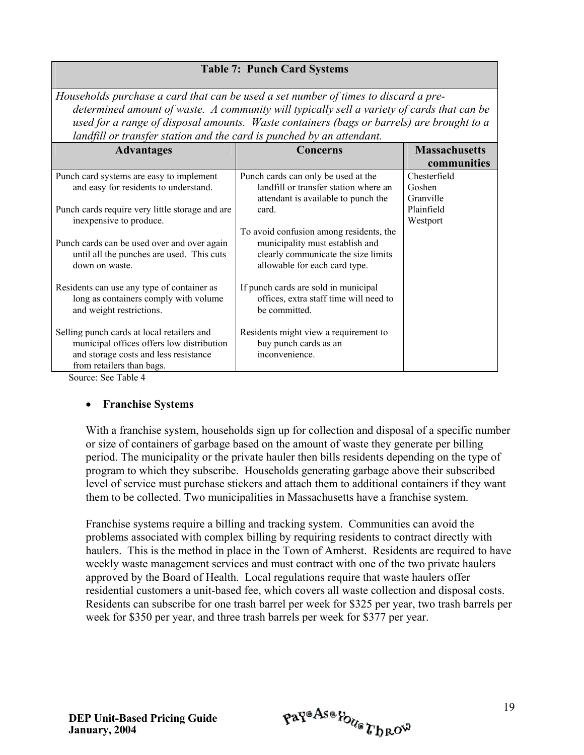| Households purchase a card that can be used a set number of times to discard a pre-        |          |                      |  |  |
|--------------------------------------------------------------------------------------------|----------|----------------------|--|--|
| determined amount of waste. A community will typically sell a variety of cards that can be |          |                      |  |  |
| used for a range of disposal amounts. Waste containers (bags or barrels) are brought to a  |          |                      |  |  |
| landfill or transfer station and the card is punched by an attendant.                      |          |                      |  |  |
| <b>Advantages</b>                                                                          | Concerns | <b>Massachusetts</b> |  |  |
|                                                                                            |          |                      |  |  |

**Table 7: Punch Card Systems**

| Auvantages                                                    | Concerns                                |              |
|---------------------------------------------------------------|-----------------------------------------|--------------|
|                                                               |                                         | communities  |
| Punch card systems are easy to implement                      | Punch cards can only be used at the     | Chesterfield |
| and easy for residents to understand.                         | landfill or transfer station where an   | Goshen       |
|                                                               | attendant is available to punch the     | Granville    |
| Punch cards require very little storage and are               | card.                                   | Plainfield   |
| inexpensive to produce.                                       |                                         | Westport     |
|                                                               | To avoid confusion among residents, the |              |
| Punch cards can be used over and over again                   | municipality must establish and         |              |
| until all the punches are used. This cuts                     | clearly communicate the size limits     |              |
| down on waste.                                                | allowable for each card type.           |              |
|                                                               |                                         |              |
| Residents can use any type of container as                    | If punch cards are sold in municipal    |              |
| long as containers comply with volume                         | offices, extra staff time will need to  |              |
| and weight restrictions.                                      | be committed.                           |              |
| Selling punch cards at local retailers and                    | Residents might view a requirement to   |              |
| municipal offices offers low distribution                     | buy punch cards as an                   |              |
| and storage costs and less resistance                         |                                         |              |
|                                                               | inconvenience.                          |              |
| from retailers than bags.<br>$\alpha$ $\alpha$ $\pi$ 11 $\mu$ |                                         |              |

Source: See Table 4

#### • **Franchise Systems**

With a franchise system, households sign up for collection and disposal of a specific number or size of containers of garbage based on the amount of waste they generate per billing period. The municipality or the private hauler then bills residents depending on the type of program to which they subscribe. Households generating garbage above their subscribed level of service must purchase stickers and attach them to additional containers if they want them to be collected. Two municipalities in Massachusetts have a franchise system.

Franchise systems require a billing and tracking system. Communities can avoid the problems associated with complex billing by requiring residents to contract directly with haulers. This is the method in place in the Town of Amherst. Residents are required to have weekly waste management services and must contract with one of the two private haulers approved by the Board of Health. Local regulations require that waste haulers offer residential customers a unit-based fee, which covers all waste collection and disposal costs. Residents can subscribe for one trash barrel per week for \$325 per year, two trash barrels per week for \$350 per year, and three trash barrels per week for \$377 per year.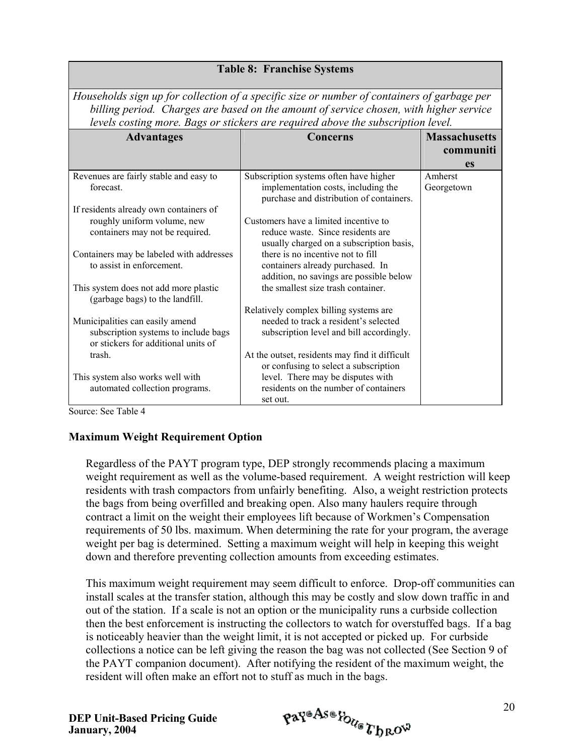*Households sign up for collection of a specific size or number of containers of garbage per billing period. Charges are based on the amount of service chosen, with higher service levels costing more. Bags or stickers are required above the subscription level.*

| <b>Advantages</b>                                                           | Concerns                                                                        | <b>Massachusetts</b> |
|-----------------------------------------------------------------------------|---------------------------------------------------------------------------------|----------------------|
|                                                                             |                                                                                 | communiti            |
|                                                                             |                                                                                 | <b>es</b>            |
| Revenues are fairly stable and easy to                                      | Subscription systems often have higher                                          | Amherst              |
| forecast.                                                                   | implementation costs, including the<br>purchase and distribution of containers. | Georgetown           |
| If residents already own containers of                                      |                                                                                 |                      |
| roughly uniform volume, new                                                 | Customers have a limited incentive to                                           |                      |
| containers may not be required.                                             | reduce waste. Since residents are<br>usually charged on a subscription basis,   |                      |
| Containers may be labeled with addresses                                    | there is no incentive not to fill                                               |                      |
| to assist in enforcement.                                                   | containers already purchased. In                                                |                      |
|                                                                             | addition, no savings are possible below                                         |                      |
| This system does not add more plastic<br>(garbage bags) to the landfill.    | the smallest size trash container.                                              |                      |
|                                                                             | Relatively complex billing systems are                                          |                      |
| Municipalities can easily amend                                             | needed to track a resident's selected                                           |                      |
| subscription systems to include bags<br>or stickers for additional units of | subscription level and bill accordingly.                                        |                      |
| trash.                                                                      | At the outset, residents may find it difficult                                  |                      |
|                                                                             | or confusing to select a subscription                                           |                      |
| This system also works well with                                            | level. There may be disputes with                                               |                      |
| automated collection programs.                                              | residents on the number of containers<br>set out.                               |                      |

Source: See Table 4

#### **Maximum Weight Requirement Option**

Regardless of the PAYT program type, DEP strongly recommends placing a maximum weight requirement as well as the volume-based requirement. A weight restriction will keep residents with trash compactors from unfairly benefiting. Also, a weight restriction protects the bags from being overfilled and breaking open. Also many haulers require through contract a limit on the weight their employees lift because of Workmen's Compensation requirements of 50 lbs. maximum. When determining the rate for your program, the average weight per bag is determined. Setting a maximum weight will help in keeping this weight down and therefore preventing collection amounts from exceeding estimates.

This maximum weight requirement may seem difficult to enforce. Drop-off communities can install scales at the transfer station, although this may be costly and slow down traffic in and out of the station. If a scale is not an option or the municipality runs a curbside collection then the best enforcement is instructing the collectors to watch for overstuffed bags. If a bag is noticeably heavier than the weight limit, it is not accepted or picked up. For curbside collections a notice can be left giving the reason the bag was not collected (See Section 9 of the PAYT companion document). After notifying the resident of the maximum weight, the resident will often make an effort not to stuff as much in the bags.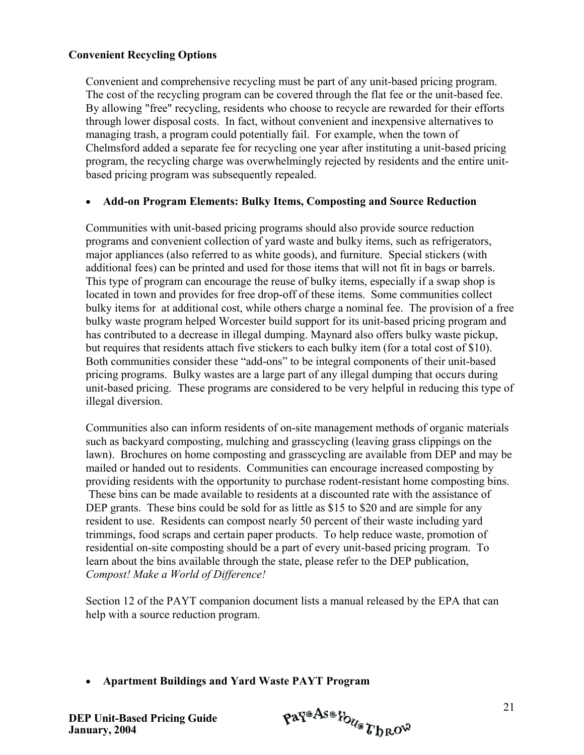#### **Convenient Recycling Options**

Convenient and comprehensive recycling must be part of any unit-based pricing program. The cost of the recycling program can be covered through the flat fee or the unit-based fee. By allowing "free" recycling, residents who choose to recycle are rewarded for their efforts through lower disposal costs. In fact, without convenient and inexpensive alternatives to managing trash, a program could potentially fail. For example, when the town of Chelmsford added a separate fee for recycling one year after instituting a unit-based pricing program, the recycling charge was overwhelmingly rejected by residents and the entire unitbased pricing program was subsequently repealed.

#### • **Add-on Program Elements: Bulky Items, Composting and Source Reduction**

Communities with unit-based pricing programs should also provide source reduction programs and convenient collection of yard waste and bulky items, such as refrigerators, major appliances (also referred to as white goods), and furniture. Special stickers (with additional fees) can be printed and used for those items that will not fit in bags or barrels. This type of program can encourage the reuse of bulky items, especially if a swap shop is located in town and provides for free drop-off of these items. Some communities collect bulky items for at additional cost, while others charge a nominal fee. The provision of a free bulky waste program helped Worcester build support for its unit-based pricing program and has contributed to a decrease in illegal dumping. Maynard also offers bulky waste pickup, but requires that residents attach five stickers to each bulky item (for a total cost of \$10). Both communities consider these "add-ons" to be integral components of their unit-based pricing programs. Bulky wastes are a large part of any illegal dumping that occurs during unit-based pricing. These programs are considered to be very helpful in reducing this type of illegal diversion.

Communities also can inform residents of on-site management methods of organic materials such as backyard composting, mulching and grasscycling (leaving grass clippings on the lawn). Brochures on home composting and grasscycling are available from DEP and may be mailed or handed out to residents. Communities can encourage increased composting by providing residents with the opportunity to purchase rodent-resistant home composting bins. These bins can be made available to residents at a discounted rate with the assistance of DEP grants. These bins could be sold for as little as \$15 to \$20 and are simple for any resident to use. Residents can compost nearly 50 percent of their waste including yard trimmings, food scraps and certain paper products. To help reduce waste, promotion of residential on-site composting should be a part of every unit-based pricing program. To learn about the bins available through the state, please refer to the DEP publication, *Compost! Make a World of Difference!*

Section 12 of the PAYT companion document lists a manual released by the EPA that can help with a source reduction program.

• **Apartment Buildings and Yard Waste PAYT Program** 

$$
\mathfrak{p} \mathfrak{a} \mathfrak{p}^{\mathfrak{a} \mathfrak{A} \mathfrak{s} \mathfrak{a}} \mathfrak{p}_{\mathcal{U}_{\mathfrak{S}}} \mathfrak{p}_{\mathfrak{h} \mathfrak{R} \mathfrak{O}^{\mathfrak{Q}}}
$$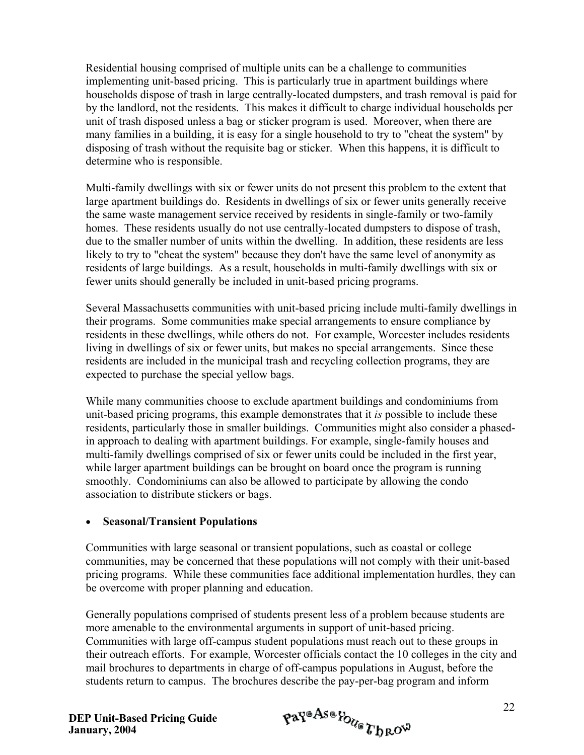Residential housing comprised of multiple units can be a challenge to communities implementing unit-based pricing. This is particularly true in apartment buildings where households dispose of trash in large centrally-located dumpsters, and trash removal is paid for by the landlord, not the residents. This makes it difficult to charge individual households per unit of trash disposed unless a bag or sticker program is used. Moreover, when there are many families in a building, it is easy for a single household to try to "cheat the system" by disposing of trash without the requisite bag or sticker. When this happens, it is difficult to determine who is responsible.

Multi-family dwellings with six or fewer units do not present this problem to the extent that large apartment buildings do. Residents in dwellings of six or fewer units generally receive the same waste management service received by residents in single-family or two-family homes. These residents usually do not use centrally-located dumpsters to dispose of trash, due to the smaller number of units within the dwelling. In addition, these residents are less likely to try to "cheat the system" because they don't have the same level of anonymity as residents of large buildings. As a result, households in multi-family dwellings with six or fewer units should generally be included in unit-based pricing programs.

Several Massachusetts communities with unit-based pricing include multi-family dwellings in their programs. Some communities make special arrangements to ensure compliance by residents in these dwellings, while others do not. For example, Worcester includes residents living in dwellings of six or fewer units, but makes no special arrangements. Since these residents are included in the municipal trash and recycling collection programs, they are expected to purchase the special yellow bags.

While many communities choose to exclude apartment buildings and condominiums from unit-based pricing programs, this example demonstrates that it *is* possible to include these residents, particularly those in smaller buildings. Communities might also consider a phasedin approach to dealing with apartment buildings. For example, single-family houses and multi-family dwellings comprised of six or fewer units could be included in the first year, while larger apartment buildings can be brought on board once the program is running smoothly. Condominiums can also be allowed to participate by allowing the condo association to distribute stickers or bags.

#### • **Seasonal/Transient Populations**

Communities with large seasonal or transient populations, such as coastal or college communities, may be concerned that these populations will not comply with their unit-based pricing programs. While these communities face additional implementation hurdles, they can be overcome with proper planning and education.

Generally populations comprised of students present less of a problem because students are more amenable to the environmental arguments in support of unit-based pricing. Communities with large off-campus student populations must reach out to these groups in their outreach efforts. For example, Worcester officials contact the 10 colleges in the city and mail brochures to departments in charge of off-campus populations in August, before the students return to campus. The brochures describe the pay-per-bag program and inform

$$
\mathfrak{p} \mathfrak{a} \mathfrak{r}^{\mathfrak{a} \mathfrak{A} \mathfrak{s} \mathfrak{a}} \mathfrak{k}_{\mathfrak{b}_{\mathfrak{k} \mathfrak{c}}} \mathfrak{k}_{\mathfrak{b}_{\mathfrak{k}} \mathfrak{c} \mathfrak{b}^{\mathfrak{a}}}
$$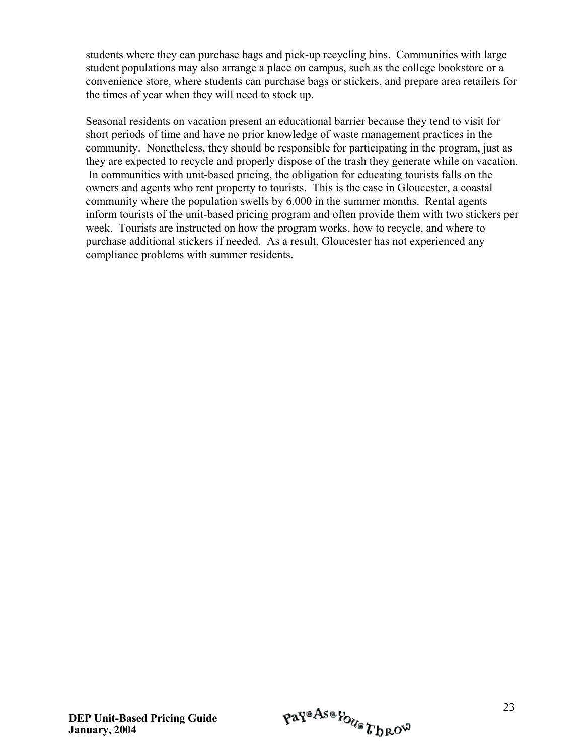students where they can purchase bags and pick-up recycling bins. Communities with large student populations may also arrange a place on campus, such as the college bookstore or a convenience store, where students can purchase bags or stickers, and prepare area retailers for the times of year when they will need to stock up.

Seasonal residents on vacation present an educational barrier because they tend to visit for short periods of time and have no prior knowledge of waste management practices in the community. Nonetheless, they should be responsible for participating in the program, just as they are expected to recycle and properly dispose of the trash they generate while on vacation. In communities with unit-based pricing, the obligation for educating tourists falls on the owners and agents who rent property to tourists. This is the case in Gloucester, a coastal community where the population swells by 6,000 in the summer months. Rental agents inform tourists of the unit-based pricing program and often provide them with two stickers per week. Tourists are instructed on how the program works, how to recycle, and where to purchase additional stickers if needed. As a result, Gloucester has not experienced any compliance problems with summer residents.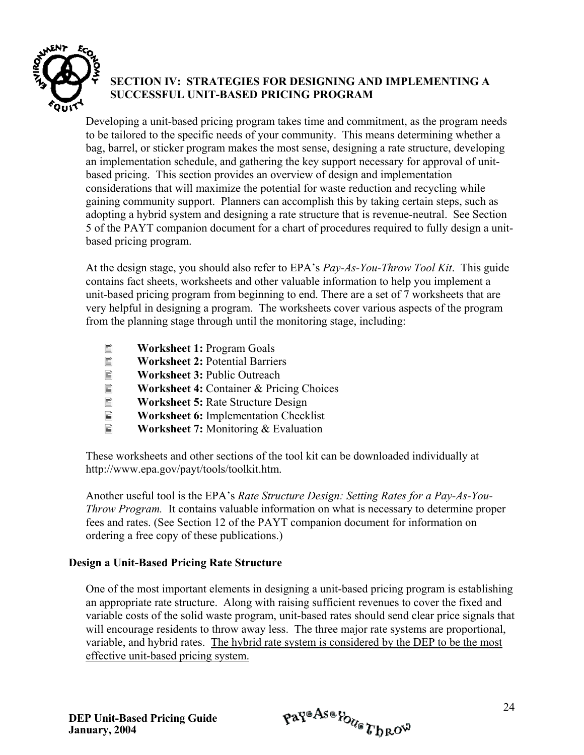

## **SECTION IV: STRATEGIES FOR DESIGNING AND IMPLEMENTING A SUCCESSFUL UNIT-BASED PRICING PROGRAM**

Developing a unit-based pricing program takes time and commitment, as the program needs to be tailored to the specific needs of your community. This means determining whether a bag, barrel, or sticker program makes the most sense, designing a rate structure, developing an implementation schedule, and gathering the key support necessary for approval of unitbased pricing. This section provides an overview of design and implementation considerations that will maximize the potential for waste reduction and recycling while gaining community support. Planners can accomplish this by taking certain steps, such as adopting a hybrid system and designing a rate structure that is revenue-neutral. See Section 5 of the PAYT companion document for a chart of procedures required to fully design a unitbased pricing program.

At the design stage, you should also refer to EPA's *Pay-As-You-Throw Tool Kit*. This guide contains fact sheets, worksheets and other valuable information to help you implement a unit-based pricing program from beginning to end. There are a set of 7 worksheets that are very helpful in designing a program. The worksheets cover various aspects of the program from the planning stage through until the monitoring stage, including:

- **E** Worksheet 1: Program Goals
- 
- **E** Worksheet 2: Potential Barriers<br> **E** Worksheet 3: Public Outreach
- **E** Worksheet 3: Public Outreach<br> **E** Worksheet 4: Container & Pric **E** Worksheet 4: Container & Pricing Choices<br> **E** Worksheet 5: Rate Structure Design
- **Worksheet 5:** Rate Structure Design
- **E** Worksheet 6: Implementation Checklist
- **Worksheet 7:** Monitoring & Evaluation

These worksheets and other sections of the tool kit can be downloaded individually at http://www.epa.gov/payt/tools/toolkit.htm.

Another useful tool is the EPA's *Rate Structure Design: Setting Rates for a Pay-As-You-Throw Program.* It contains valuable information on what is necessary to determine proper fees and rates. (See Section 12 of the PAYT companion document for information on ordering a free copy of these publications.)

#### **Design a Unit-Based Pricing Rate Structure**

One of the most important elements in designing a unit-based pricing program is establishing an appropriate rate structure. Along with raising sufficient revenues to cover the fixed and variable costs of the solid waste program, unit-based rates should send clear price signals that will encourage residents to throw away less. The three major rate systems are proportional, variable, and hybrid rates. The hybrid rate system is considered by the DEP to be the most effective unit-based pricing system.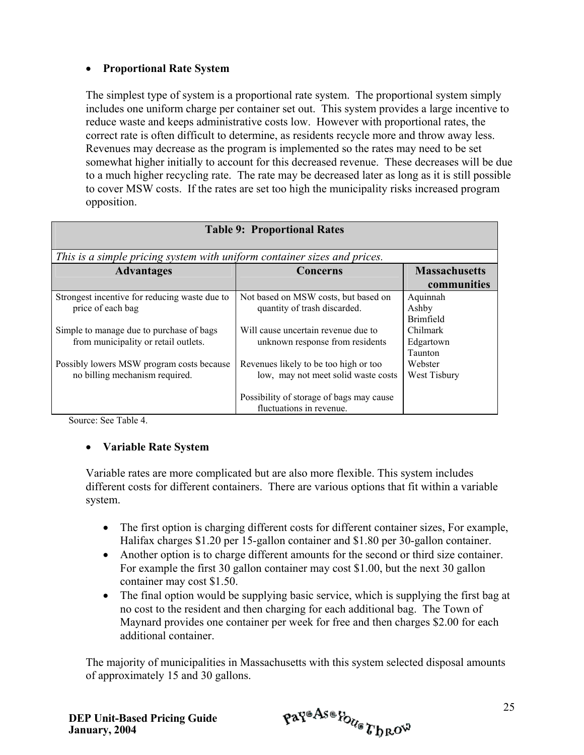#### • **Proportional Rate System**

The simplest type of system is a proportional rate system. The proportional system simply includes one uniform charge per container set out. This system provides a large incentive to reduce waste and keeps administrative costs low. However with proportional rates, the correct rate is often difficult to determine, as residents recycle more and throw away less. Revenues may decrease as the program is implemented so the rates may need to be set somewhat higher initially to account for this decreased revenue. These decreases will be due to a much higher recycling rate. The rate may be decreased later as long as it is still possible to cover MSW costs. If the rates are set too high the municipality risks increased program opposition.

| <b>Table 9: Proportional Rates</b>                                                                                  |                                                                                                                 |                                                          |  |  |  |
|---------------------------------------------------------------------------------------------------------------------|-----------------------------------------------------------------------------------------------------------------|----------------------------------------------------------|--|--|--|
| This is a simple pricing system with uniform container sizes and prices.                                            |                                                                                                                 |                                                          |  |  |  |
| <b>Advantages</b>                                                                                                   | Concerns                                                                                                        | <b>Massachusetts</b>                                     |  |  |  |
|                                                                                                                     |                                                                                                                 | communities                                              |  |  |  |
| Strongest incentive for reducing waste due to<br>price of each bag<br>Simple to manage due to purchase of bags      | Not based on MSW costs, but based on<br>quantity of trash discarded.<br>Will cause uncertain revenue due to     | Aquinnah<br>Ashby<br><b>Brimfield</b><br><b>Chilmark</b> |  |  |  |
| from municipality or retail outlets.<br>Possibly lowers MSW program costs because<br>no billing mechanism required. | unknown response from residents<br>Revenues likely to be too high or too<br>low, may not meet solid waste costs | Edgartown<br>Taunton<br>Webster<br>West Tisbury          |  |  |  |
|                                                                                                                     | Possibility of storage of bags may cause<br>fluctuations in revenue.                                            |                                                          |  |  |  |

Source: See Table 4.

#### • **Variable Rate System**

Variable rates are more complicated but are also more flexible. This system includes different costs for different containers. There are various options that fit within a variable system.

- The first option is charging different costs for different container sizes, For example, Halifax charges \$1.20 per 15-gallon container and \$1.80 per 30-gallon container.
- Another option is to charge different amounts for the second or third size container. For example the first 30 gallon container may cost \$1.00, but the next 30 gallon container may cost \$1.50.
- The final option would be supplying basic service, which is supplying the first bag at no cost to the resident and then charging for each additional bag. The Town of Maynard provides one container per week for free and then charges \$2.00 for each additional container.

The majority of municipalities in Massachusetts with this system selected disposal amounts of approximately 15 and 30 gallons.

$$
\mathfrak{p} \mathfrak{a} \mathfrak{r}^{\mathfrak{a} \mathcal{A} \mathfrak{s} \mathfrak{a}} \mathfrak{k}_{\mathcal{O}_{\mathcal{U}_{\mathfrak{S}}}} \mathfrak{r}_{\mathfrak{h} \mathfrak{R} \mathcal{O}^{\mathfrak{W}}}
$$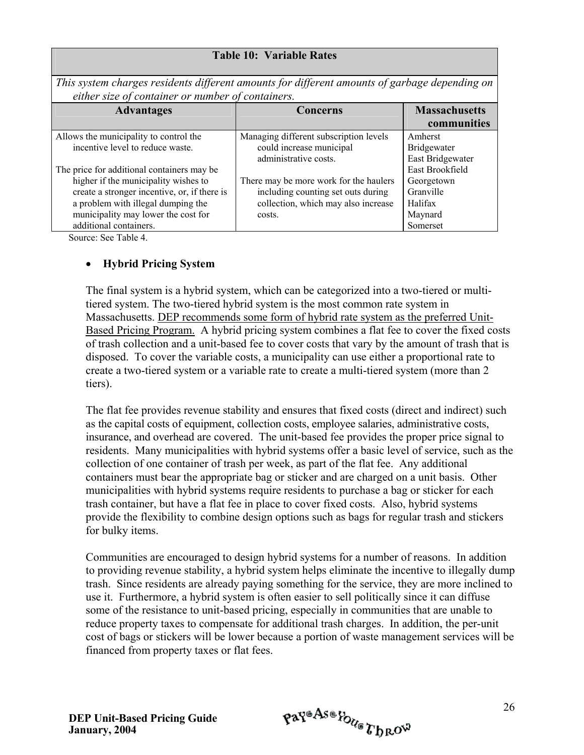#### **Table 10: Variable Rates**

*This system charges residents different amounts for different amounts of garbage depending on either size of container or number of containers.* 

| <b>Advantages</b>                            | Concerns                                          | <b>Massachusetts</b><br>communities    |
|----------------------------------------------|---------------------------------------------------|----------------------------------------|
| Allows the municipality to control the       | Managing different subscription levels            | Amherst                                |
| incentive level to reduce waste.             | could increase municipal<br>administrative costs. | <b>Bridgewater</b><br>East Bridgewater |
| The price for additional containers may be   |                                                   | East Brookfield                        |
| higher if the municipality wishes to         | There may be more work for the haulers            | Georgetown                             |
| create a stronger incentive, or, if there is | including counting set outs during                | Granville                              |
| a problem with illegal dumping the           | collection, which may also increase               | Halifax                                |
| municipality may lower the cost for          | costs.                                            | Maynard                                |
| additional containers.                       |                                                   | Somerset                               |

Source: See Table 4.

#### • **Hybrid Pricing System**

The final system is a hybrid system, which can be categorized into a two-tiered or multitiered system. The two-tiered hybrid system is the most common rate system in Massachusetts. DEP recommends some form of hybrid rate system as the preferred Unit-Based Pricing Program. A hybrid pricing system combines a flat fee to cover the fixed costs of trash collection and a unit-based fee to cover costs that vary by the amount of trash that is disposed. To cover the variable costs, a municipality can use either a proportional rate to create a two-tiered system or a variable rate to create a multi-tiered system (more than 2 tiers).

The flat fee provides revenue stability and ensures that fixed costs (direct and indirect) such as the capital costs of equipment, collection costs, employee salaries, administrative costs, insurance, and overhead are covered. The unit-based fee provides the proper price signal to residents. Many municipalities with hybrid systems offer a basic level of service, such as the collection of one container of trash per week, as part of the flat fee. Any additional containers must bear the appropriate bag or sticker and are charged on a unit basis. Other municipalities with hybrid systems require residents to purchase a bag or sticker for each trash container, but have a flat fee in place to cover fixed costs. Also, hybrid systems provide the flexibility to combine design options such as bags for regular trash and stickers for bulky items.

Communities are encouraged to design hybrid systems for a number of reasons. In addition to providing revenue stability, a hybrid system helps eliminate the incentive to illegally dump trash. Since residents are already paying something for the service, they are more inclined to use it. Furthermore, a hybrid system is often easier to sell politically since it can diffuse some of the resistance to unit-based pricing, especially in communities that are unable to reduce property taxes to compensate for additional trash charges. In addition, the per-unit cost of bags or stickers will be lower because a portion of waste management services will be financed from property taxes or flat fees.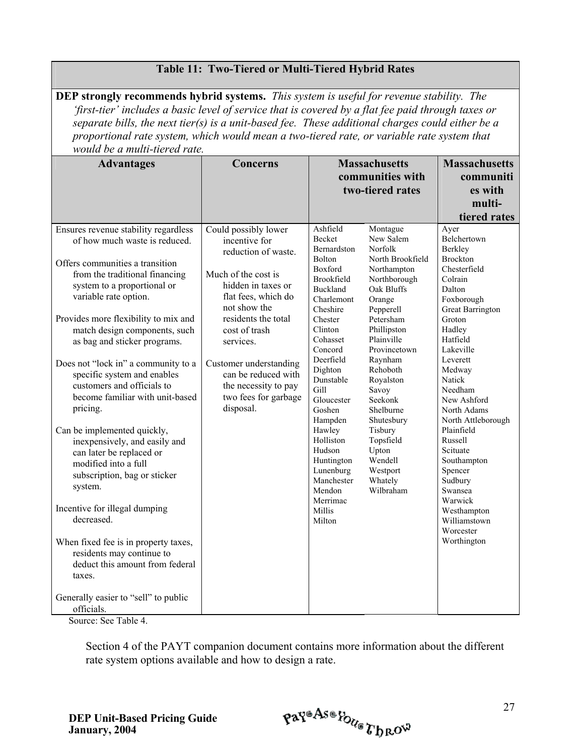| <b>DEP</b> strongly recommends hybrid systems. This system is useful for revenue stability. The<br>'first-tier' includes a basic level of service that is covered by a flat fee paid through taxes or<br>separate bills, the next tier(s) is a unit-based fee. These additional charges could either be a<br>proportional rate system, which would mean a two-tiered rate, or variable rate system that<br>would be a multi-tiered rate.                                                                                                                                                                                                                                                                                                                                                                                                             |                                                                                                                                                                                                                                                                                                                     |                                                                                                                                                                                                                                                                                                                                                                    |                                                                                                                                                                                                                                                                                                                                                       |                                                                                                                                                                                                                                                                                                                                                                                                                                        |  |  |
|------------------------------------------------------------------------------------------------------------------------------------------------------------------------------------------------------------------------------------------------------------------------------------------------------------------------------------------------------------------------------------------------------------------------------------------------------------------------------------------------------------------------------------------------------------------------------------------------------------------------------------------------------------------------------------------------------------------------------------------------------------------------------------------------------------------------------------------------------|---------------------------------------------------------------------------------------------------------------------------------------------------------------------------------------------------------------------------------------------------------------------------------------------------------------------|--------------------------------------------------------------------------------------------------------------------------------------------------------------------------------------------------------------------------------------------------------------------------------------------------------------------------------------------------------------------|-------------------------------------------------------------------------------------------------------------------------------------------------------------------------------------------------------------------------------------------------------------------------------------------------------------------------------------------------------|----------------------------------------------------------------------------------------------------------------------------------------------------------------------------------------------------------------------------------------------------------------------------------------------------------------------------------------------------------------------------------------------------------------------------------------|--|--|
| <b>Advantages</b>                                                                                                                                                                                                                                                                                                                                                                                                                                                                                                                                                                                                                                                                                                                                                                                                                                    | Concerns                                                                                                                                                                                                                                                                                                            | <b>Massachusetts</b><br>communities with<br>two-tiered rates                                                                                                                                                                                                                                                                                                       |                                                                                                                                                                                                                                                                                                                                                       | <b>Massachusetts</b><br>communiti<br>es with<br>multi-<br>tiered rates                                                                                                                                                                                                                                                                                                                                                                 |  |  |
| Ensures revenue stability regardless<br>of how much waste is reduced.<br>Offers communities a transition<br>from the traditional financing<br>system to a proportional or<br>variable rate option.<br>Provides more flexibility to mix and<br>match design components, such<br>as bag and sticker programs.<br>Does not "lock in" a community to a<br>specific system and enables<br>customers and officials to<br>become familiar with unit-based<br>pricing.<br>Can be implemented quickly,<br>inexpensively, and easily and<br>can later be replaced or<br>modified into a full<br>subscription, bag or sticker<br>system.<br>Incentive for illegal dumping<br>decreased.<br>When fixed fee is in property taxes,<br>residents may continue to<br>deduct this amount from federal<br>taxes.<br>Generally easier to "sell" to public<br>officials. | Could possibly lower<br>incentive for<br>reduction of waste.<br>Much of the cost is<br>hidden in taxes or<br>flat fees, which do<br>not show the<br>residents the total<br>cost of trash<br>services.<br>Customer understanding<br>can be reduced with<br>the necessity to pay<br>two fees for garbage<br>disposal. | Ashfield<br>Becket<br>Bernardston<br>Bolton<br>Boxford<br>Brookfield<br><b>Buckland</b><br>Charlemont<br>Cheshire<br>Chester<br>Clinton<br>Cohasset<br>Concord<br>Deerfield<br>Dighton<br>Dunstable<br>Gill<br>Gloucester<br>Goshen<br>Hampden<br>Hawley<br>Holliston<br>Hudson<br>Huntington<br>Lunenburg<br>Manchester<br>Mendon<br>Merrimac<br>Millis<br>Milton | Montague<br>New Salem<br>Norfolk<br>North Brookfield<br>Northampton<br>Northborough<br>Oak Bluffs<br>Orange<br>Pepperell<br>Petersham<br>Phillipston<br>Plainville<br>Provincetown<br>Raynham<br>Rehoboth<br>Royalston<br>Savoy<br>Seekonk<br>Shelburne<br>Shutesbury<br>Tisbury<br>Topsfield<br>Upton<br>Wendell<br>Westport<br>Whately<br>Wilbraham | Ayer<br>Belchertown<br>Berkley<br><b>Brockton</b><br>Chesterfield<br>Colrain<br>Dalton<br>Foxborough<br><b>Great Barrington</b><br>Groton<br>Hadley<br>Hatfield<br>Lakeville<br>Leverett<br>Medway<br>Natick<br>Needham<br>New Ashford<br>North Adams<br>North Attleborough<br>Plainfield<br>Russell<br>Scituate<br>Southampton<br>Spencer<br>Sudbury<br>Swansea<br>Warwick<br>Westhampton<br>Williamstown<br>Worcester<br>Worthington |  |  |

**Table 11: Two-Tiered or Multi-Tiered Hybrid Rates**

Source: See Table 4.

Section 4 of the PAYT companion document contains more information about the different rate system options available and how to design a rate.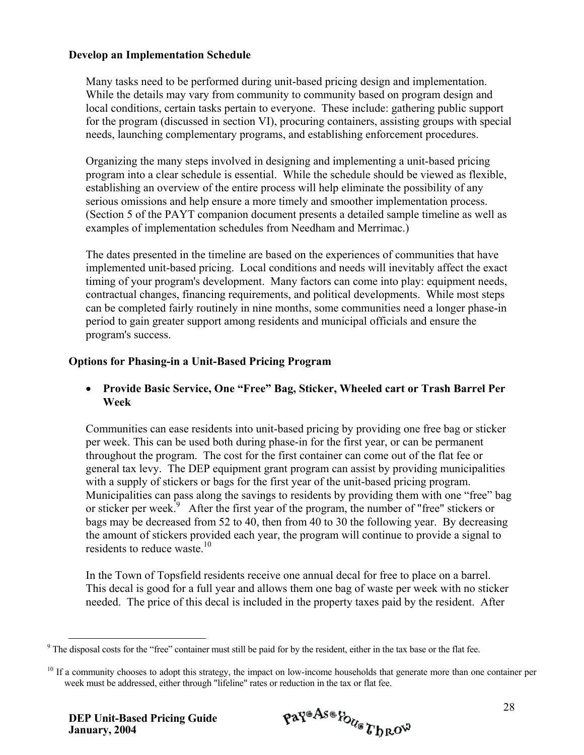#### **Develop an Implementation Schedule**

Many tasks need to be performed during unit-based pricing design and implementation. While the details may vary from community to community based on program design and local conditions, certain tasks pertain to everyone. These include: gathering public support for the program (discussed in section VI), procuring containers, assisting groups with special needs, launching complementary programs, and establishing enforcement procedures.

Organizing the many steps involved in designing and implementing a unit-based pricing program into a clear schedule is essential. While the schedule should be viewed as flexible, establishing an overview of the entire process will help eliminate the possibility of any serious omissions and help ensure a more timely and smoother implementation process. (Section 5 of the PAYT companion document presents a detailed sample timeline as well as examples of implementation schedules from Needham and Merrimac.)

The dates presented in the timeline are based on the experiences of communities that have implemented unit-based pricing. Local conditions and needs will inevitably affect the exact timing of your program's development. Many factors can come into play: equipment needs, contractual changes, financing requirements, and political developments. While most steps can be completed fairly routinely in nine months, some communities need a longer phase-in period to gain greater support among residents and municipal officials and ensure the program's success.

#### **Options for Phasing-in a Unit-Based Pricing Program**

• **Provide Basic Service, One "Free" Bag, Sticker, Wheeled cart or Trash Barrel Per Week** 

Communities can ease residents into unit-based pricing by providing one free bag or sticker per week. This can be used both during phase-in for the first year, or can be permanent throughout the program. The cost for the first container can come out of the flat fee or general tax levy. The DEP equipment grant program can assist by providing municipalities with a supply of stickers or bags for the first year of the unit-based pricing program. Municipalities can pass along the savings to residents by providing them with one "free" bag or sticker per week.<sup>[9](#page-33-0)</sup> After the first year of the program, the number of "free" stickers or bags may be decreased from 52 to 40, then from 40 to 30 the following year. By decreasing the amount of stickers provided each year, the program will continue to provide a signal to residents to reduce waste.<sup>[10](#page-33-1)</sup>

In the Town of Topsfield residents receive one annual decal for free to place on a barrel. This decal is good for a full year and allows them one bag of waste per week with no sticker needed. The price of this decal is included in the property taxes paid by the resident. After

 $\overline{a}$ 

<span id="page-33-0"></span> $9$  The disposal costs for the "free" container must still be paid for by the resident, either in the tax base or the flat fee.

<span id="page-33-1"></span><sup>&</sup>lt;sup>10</sup> If a community chooses to adopt this strategy, the impact on low-income households that generate more than one container per week must be addressed, either through "lifeline" rates or reduction in the tax or flat fee.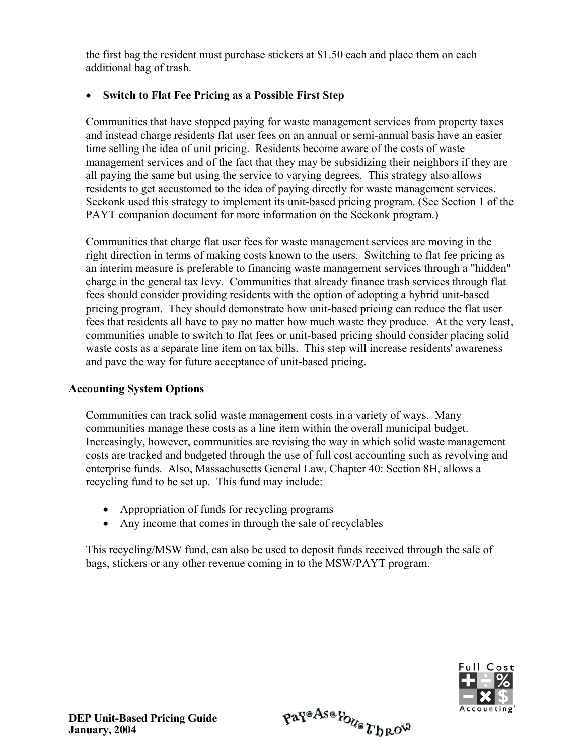the first bag the resident must purchase stickers at \$1.50 each and place them on each additional bag of trash.

#### • **Switch to Flat Fee Pricing as a Possible First Step**

Communities that have stopped paying for waste management services from property taxes and instead charge residents flat user fees on an annual or semi-annual basis have an easier time selling the idea of unit pricing. Residents become aware of the costs of waste management services and of the fact that they may be subsidizing their neighbors if they are all paying the same but using the service to varying degrees. This strategy also allows residents to get accustomed to the idea of paying directly for waste management services. Seekonk used this strategy to implement its unit-based pricing program. (See Section 1 of the PAYT companion document for more information on the Seekonk program.)

Communities that charge flat user fees for waste management services are moving in the right direction in terms of making costs known to the users. Switching to flat fee pricing as an interim measure is preferable to financing waste management services through a "hidden" charge in the general tax levy. Communities that already finance trash services through flat fees should consider providing residents with the option of adopting a hybrid unit-based pricing program. They should demonstrate how unit-based pricing can reduce the flat user fees that residents all have to pay no matter how much waste they produce. At the very least, communities unable to switch to flat fees or unit-based pricing should consider placing solid waste costs as a separate line item on tax bills. This step will increase residents' awareness and pave the way for future acceptance of unit-based pricing.

#### **Accounting System Options**

Communities can track solid waste management costs in a variety of ways. Many communities manage these costs as a line item within the overall municipal budget. Increasingly, however, communities are revising the way in which solid waste management costs are tracked and budgeted through the use of full cost accounting such as revolving and enterprise funds. Also, Massachusetts General Law, Chapter 40: Section 8H, allows a recycling fund to be set up. This fund may include:

- Appropriation of funds for recycling programs
- Any income that comes in through the sale of recyclables

This recycling/MSW fund, can also be used to deposit funds received through the sale of bags, stickers or any other revenue coming in to the MSW/PAYT program.

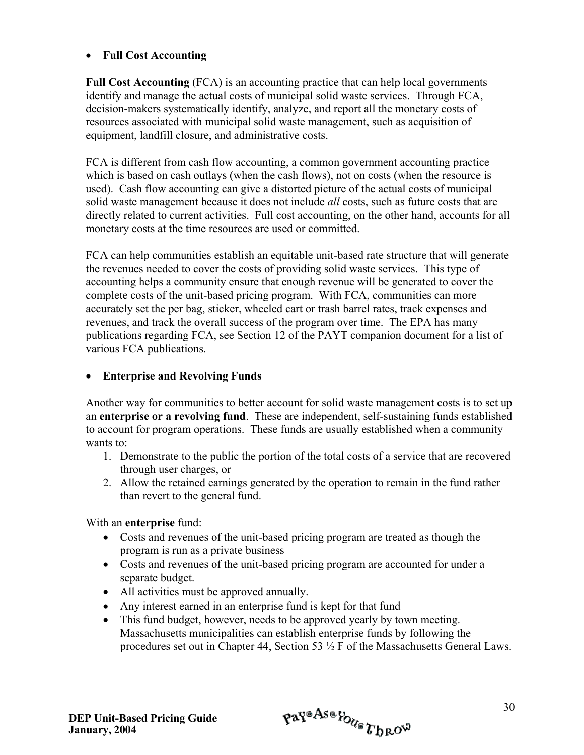#### • **Full Cost Accounting**

**Full Cost Accounting** (FCA) is an accounting practice that can help local governments identify and manage the actual costs of municipal solid waste services. Through FCA, decision-makers systematically identify, analyze, and report all the monetary costs of resources associated with municipal solid waste management, such as acquisition of equipment, landfill closure, and administrative costs.

FCA is different from cash flow accounting, a common government accounting practice which is based on cash outlays (when the cash flows), not on costs (when the resource is used). Cash flow accounting can give a distorted picture of the actual costs of municipal solid waste management because it does not include *all* costs, such as future costs that are directly related to current activities. Full cost accounting, on the other hand, accounts for all monetary costs at the time resources are used or committed.

FCA can help communities establish an equitable unit-based rate structure that will generate the revenues needed to cover the costs of providing solid waste services. This type of accounting helps a community ensure that enough revenue will be generated to cover the complete costs of the unit-based pricing program. With FCA, communities can more accurately set the per bag, sticker, wheeled cart or trash barrel rates, track expenses and revenues, and track the overall success of the program over time. The EPA has many publications regarding FCA, see Section 12 of the PAYT companion document for a list of various FCA publications.

#### • **Enterprise and Revolving Funds**

Another way for communities to better account for solid waste management costs is to set up an **enterprise or a revolving fund**. These are independent, self-sustaining funds established to account for program operations. These funds are usually established when a community wants to:

- 1. Demonstrate to the public the portion of the total costs of a service that are recovered through user charges, or
- 2. Allow the retained earnings generated by the operation to remain in the fund rather than revert to the general fund.

With an **enterprise** fund:

- Costs and revenues of the unit-based pricing program are treated as though the program is run as a private business
- Costs and revenues of the unit-based pricing program are accounted for under a separate budget.
- All activities must be approved annually.
- Any interest earned in an enterprise fund is kept for that fund
- This fund budget, however, needs to be approved yearly by town meeting. Massachusetts municipalities can establish enterprise funds by following the procedures set out in Chapter 44, Section 53 ½ F of the Massachusetts General Laws.

$$
\mathfrak{p} \mathfrak{a} \mathfrak{p}^{\mathfrak{a} \mathfrak{A} \mathfrak{s} \mathfrak{a}} \mathfrak{p}_{\mathcal{U}_{\mathfrak{G}}} \mathfrak{p}_{\mathfrak{b} \mathfrak{R}} \mathfrak{c}^{\mathfrak{g}}
$$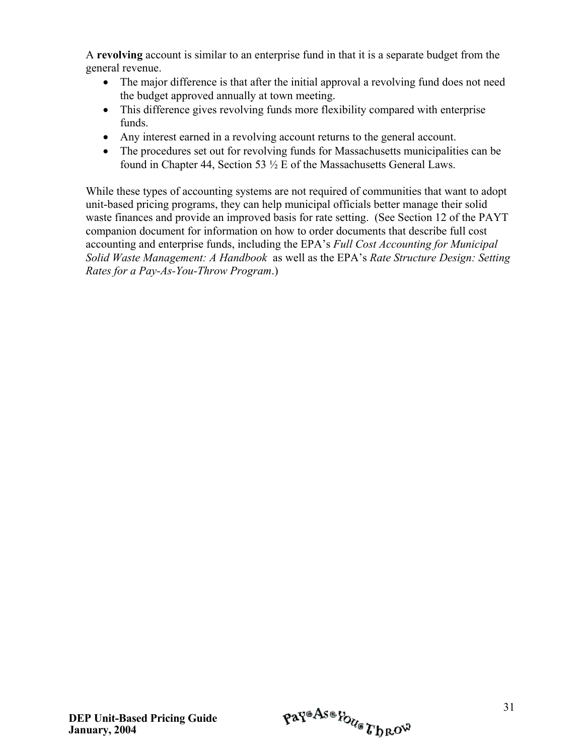A **revolving** account is similar to an enterprise fund in that it is a separate budget from the general revenue.

- The major difference is that after the initial approval a revolving fund does not need the budget approved annually at town meeting.
- This difference gives revolving funds more flexibility compared with enterprise funds.
- Any interest earned in a revolving account returns to the general account.
- The procedures set out for revolving funds for Massachusetts municipalities can be found in Chapter 44, Section 53 ½ E of the Massachusetts General Laws.

While these types of accounting systems are not required of communities that want to adopt unit-based pricing programs, they can help municipal officials better manage their solid waste finances and provide an improved basis for rate setting. (See Section 12 of the PAYT companion document for information on how to order documents that describe full cost accounting and enterprise funds, including the EPA's *Full Cost Accounting for Municipal Solid Waste Management: A Handbook* as well as the EPA's *Rate Structure Design: Setting Rates for a Pay-As-You-Throw Program*.)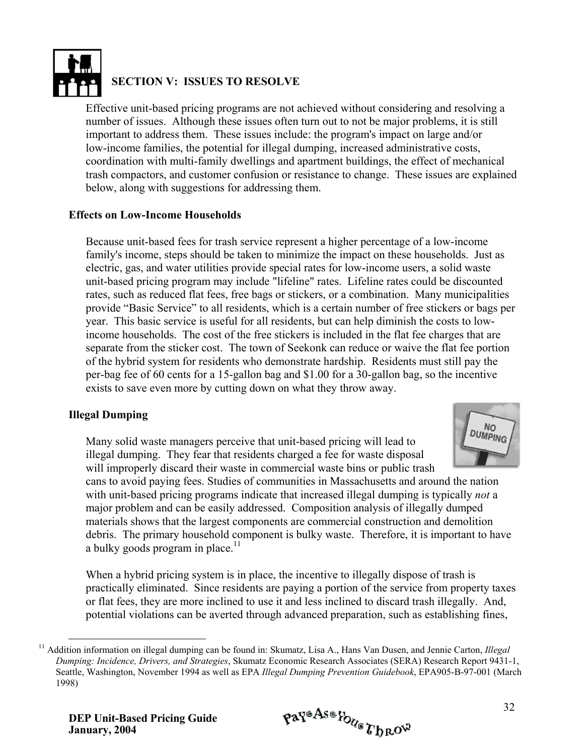

#### **SECTION V: ISSUES TO RESOLVE**

Effective unit-based pricing programs are not achieved without considering and resolving a number of issues. Although these issues often turn out to not be major problems, it is still important to address them. These issues include: the program's impact on large and/or low-income families, the potential for illegal dumping, increased administrative costs, coordination with multi-family dwellings and apartment buildings, the effect of mechanical trash compactors, and customer confusion or resistance to change. These issues are explained below, along with suggestions for addressing them.

#### **Effects on Low-Income Households**

Because unit-based fees for trash service represent a higher percentage of a low-income family's income, steps should be taken to minimize the impact on these households. Just as electric, gas, and water utilities provide special rates for low-income users, a solid waste unit-based pricing program may include "lifeline" rates. Lifeline rates could be discounted rates, such as reduced flat fees, free bags or stickers, or a combination. Many municipalities provide "Basic Service" to all residents, which is a certain number of free stickers or bags per year. This basic service is useful for all residents, but can help diminish the costs to lowincome households. The cost of the free stickers is included in the flat fee charges that are separate from the sticker cost. The town of Seekonk can reduce or waive the flat fee portion of the hybrid system for residents who demonstrate hardship. Residents must still pay the per-bag fee of 60 cents for a 15-gallon bag and \$1.00 for a 30-gallon bag, so the incentive exists to save even more by cutting down on what they throw away.

#### **Illegal Dumping**

Many solid waste managers perceive that unit-based pricing will lead to illegal dumping. They fear that residents charged a fee for waste disposal will improperly discard their waste in commercial waste bins or public trash



cans to avoid paying fees. Studies of communities in Massachusetts and around the nation with unit-based pricing programs indicate that increased illegal dumping is typically *not* a major problem and can be easily addressed. Composition analysis of illegally dumped materials shows that the largest components are commercial construction and demolition debris. The primary household component is bulky waste. Therefore, it is important to have a bulky goods program in place. $11$ 

When a hybrid pricing system is in place, the incentive to illegally dispose of trash is practically eliminated. Since residents are paying a portion of the service from property taxes or flat fees, they are more inclined to use it and less inclined to discard trash illegally. And, potential violations can be averted through advanced preparation, such as establishing fines,

<span id="page-37-0"></span> <sup>11</sup> Addition information on illegal dumping can be found in: Skumatz, Lisa A., Hans Van Dusen, and Jennie Carton, *Illegal Dumping: Incidence, Drivers, and Strategies*, Skumatz Economic Research Associates (SERA) Research Report 9431-1, Seattle, Washington, November 1994 as well as EPA *Illegal Dumping Prevention Guidebook*, EPA905-B-97-001 (March 1998)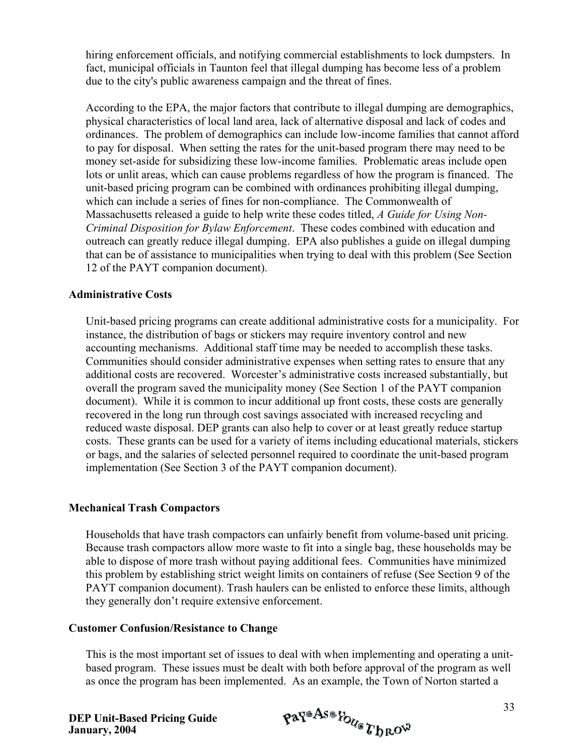hiring enforcement officials, and notifying commercial establishments to lock dumpsters. In fact, municipal officials in Taunton feel that illegal dumping has become less of a problem due to the city's public awareness campaign and the threat of fines.

According to the EPA, the major factors that contribute to illegal dumping are demographics, physical characteristics of local land area, lack of alternative disposal and lack of codes and ordinances. The problem of demographics can include low-income families that cannot afford to pay for disposal. When setting the rates for the unit-based program there may need to be money set-aside for subsidizing these low-income families. Problematic areas include open lots or unlit areas, which can cause problems regardless of how the program is financed. The unit-based pricing program can be combined with ordinances prohibiting illegal dumping, which can include a series of fines for non-compliance. The Commonwealth of Massachusetts released a guide to help write these codes titled, *A Guide for Using Non-Criminal Disposition for Bylaw Enforcement*. These codes combined with education and outreach can greatly reduce illegal dumping. EPA also publishes a guide on illegal dumping that can be of assistance to municipalities when trying to deal with this problem (See Section 12 of the PAYT companion document).

#### **Administrative Costs**

Unit-based pricing programs can create additional administrative costs for a municipality. For instance, the distribution of bags or stickers may require inventory control and new accounting mechanisms. Additional staff time may be needed to accomplish these tasks. Communities should consider administrative expenses when setting rates to ensure that any additional costs are recovered. Worcester's administrative costs increased substantially, but overall the program saved the municipality money (See Section 1 of the PAYT companion document). While it is common to incur additional up front costs, these costs are generally recovered in the long run through cost savings associated with increased recycling and reduced waste disposal. DEP grants can also help to cover or at least greatly reduce startup costs. These grants can be used for a variety of items including educational materials, stickers or bags, and the salaries of selected personnel required to coordinate the unit-based program implementation (See Section 3 of the PAYT companion document).

#### **Mechanical Trash Compactors**

Households that have trash compactors can unfairly benefit from volume-based unit pricing. Because trash compactors allow more waste to fit into a single bag, these households may be able to dispose of more trash without paying additional fees. Communities have minimized this problem by establishing strict weight limits on containers of refuse (See Section 9 of the PAYT companion document). Trash haulers can be enlisted to enforce these limits, although they generally don't require extensive enforcement.

#### **Customer Confusion/Resistance to Change**

This is the most important set of issues to deal with when implementing and operating a unitbased program. These issues must be dealt with both before approval of the program as well as once the program has been implemented. As an example, the Town of Norton started a

$$
\mathfrak{p} \mathfrak{a} \mathfrak{p}^{\mathfrak{a} \mathcal{A} \mathfrak{s} \mathfrak{a}} \mathfrak{p}_{\mathcal{O}_{\mathcal{U}_{\mathfrak{S}}}} \mathcal{U}_{\mathfrak{h} \mathfrak{R}} \mathfrak{g}^{\mathfrak{g}}
$$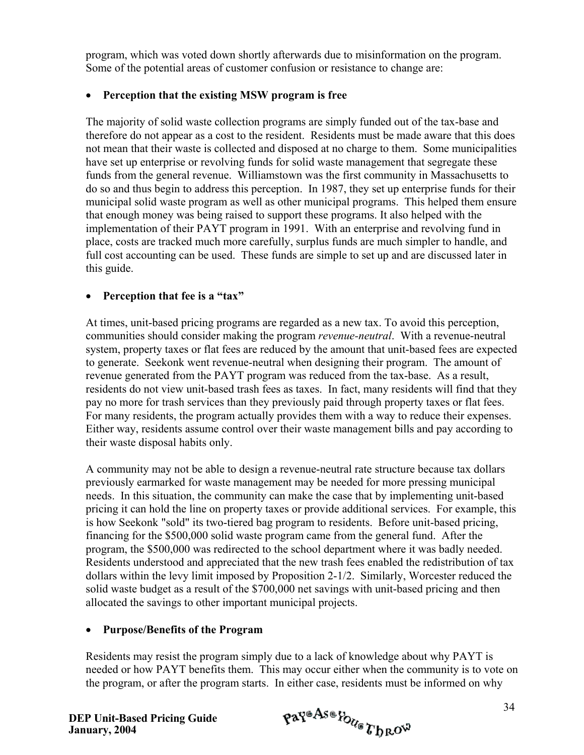program, which was voted down shortly afterwards due to misinformation on the program. Some of the potential areas of customer confusion or resistance to change are:

#### • **Perception that the existing MSW program is free**

The majority of solid waste collection programs are simply funded out of the tax-base and therefore do not appear as a cost to the resident. Residents must be made aware that this does not mean that their waste is collected and disposed at no charge to them. Some municipalities have set up enterprise or revolving funds for solid waste management that segregate these funds from the general revenue. Williamstown was the first community in Massachusetts to do so and thus begin to address this perception. In 1987, they set up enterprise funds for their municipal solid waste program as well as other municipal programs. This helped them ensure that enough money was being raised to support these programs. It also helped with the implementation of their PAYT program in 1991. With an enterprise and revolving fund in place, costs are tracked much more carefully, surplus funds are much simpler to handle, and full cost accounting can be used. These funds are simple to set up and are discussed later in this guide.

#### • **Perception that fee is a "tax"**

At times, unit-based pricing programs are regarded as a new tax. To avoid this perception, communities should consider making the program *revenue-neutral*. With a revenue-neutral system, property taxes or flat fees are reduced by the amount that unit-based fees are expected to generate. Seekonk went revenue-neutral when designing their program. The amount of revenue generated from the PAYT program was reduced from the tax-base. As a result, residents do not view unit-based trash fees as taxes. In fact, many residents will find that they pay no more for trash services than they previously paid through property taxes or flat fees. For many residents, the program actually provides them with a way to reduce their expenses. Either way, residents assume control over their waste management bills and pay according to their waste disposal habits only.

A community may not be able to design a revenue-neutral rate structure because tax dollars previously earmarked for waste management may be needed for more pressing municipal needs. In this situation, the community can make the case that by implementing unit-based pricing it can hold the line on property taxes or provide additional services. For example, this is how Seekonk "sold" its two-tiered bag program to residents. Before unit-based pricing, financing for the \$500,000 solid waste program came from the general fund. After the program, the \$500,000 was redirected to the school department where it was badly needed. Residents understood and appreciated that the new trash fees enabled the redistribution of tax dollars within the levy limit imposed by Proposition 2-1/2. Similarly, Worcester reduced the solid waste budget as a result of the \$700,000 net savings with unit-based pricing and then allocated the savings to other important municipal projects.

#### • **Purpose/Benefits of the Program**

Residents may resist the program simply due to a lack of knowledge about why PAYT is needed or how PAYT benefits them. This may occur either when the community is to vote on the program, or after the program starts. In either case, residents must be informed on why

$$
\mathfrak{p} \mathfrak{a} \mathfrak{p}^{\mathfrak{a} \mathfrak{A} \mathfrak{g} \mathfrak{a}} \mathfrak{p}_{\mathfrak{d}_{\mathfrak{g}}} \mathfrak{p}_{\mathfrak{h} \mathfrak{g} \mathfrak{O}^{\mathfrak{Q}}}
$$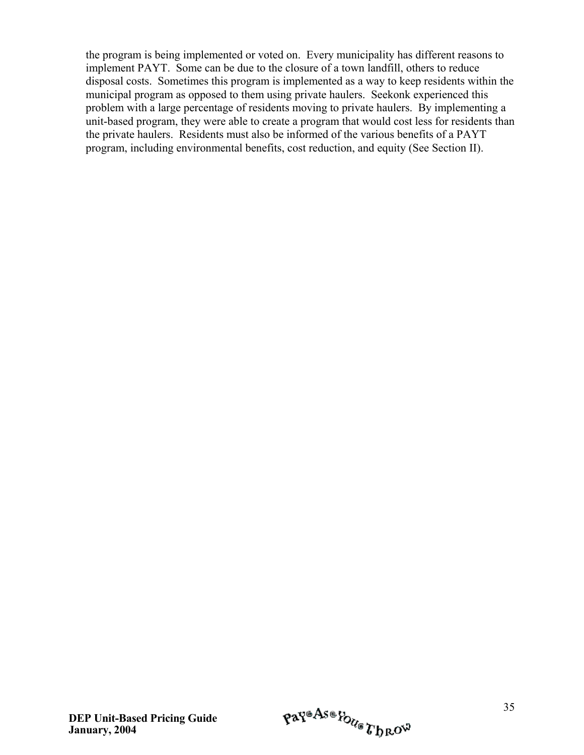the program is being implemented or voted on. Every municipality has different reasons to implement PAYT. Some can be due to the closure of a town landfill, others to reduce disposal costs. Sometimes this program is implemented as a way to keep residents within the municipal program as opposed to them using private haulers. Seekonk experienced this problem with a large percentage of residents moving to private haulers. By implementing a unit-based program, they were able to create a program that would cost less for residents than the private haulers. Residents must also be informed of the various benefits of a PAYT program, including environmental benefits, cost reduction, and equity (See Section II).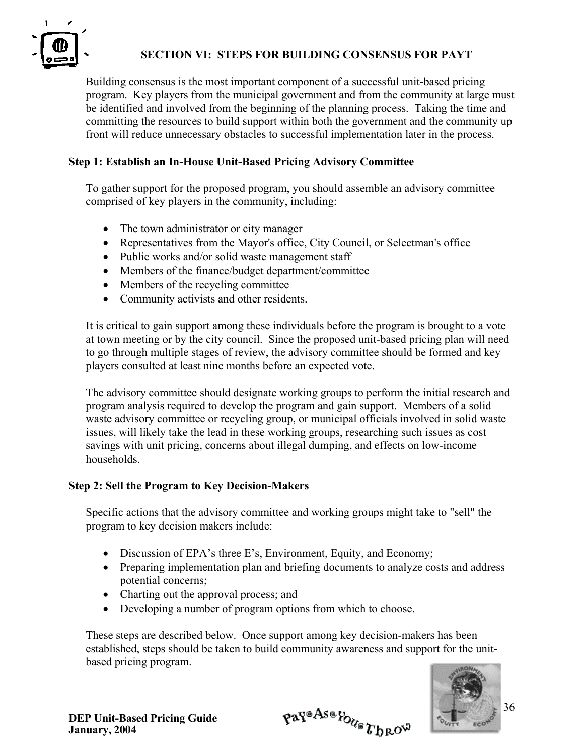

#### **SECTION VI: STEPS FOR BUILDING CONSENSUS FOR PAYT**

Building consensus is the most important component of a successful unit-based pricing program. Key players from the municipal government and from the community at large must be identified and involved from the beginning of the planning process. Taking the time and committing the resources to build support within both the government and the community up front will reduce unnecessary obstacles to successful implementation later in the process.

#### **Step 1: Establish an In-House Unit-Based Pricing Advisory Committee**

To gather support for the proposed program, you should assemble an advisory committee comprised of key players in the community, including:

- The town administrator or city manager
- Representatives from the Mayor's office, City Council, or Selectman's office
- Public works and/or solid waste management staff
- Members of the finance/budget department/committee
- Members of the recycling committee
- Community activists and other residents.

It is critical to gain support among these individuals before the program is brought to a vote at town meeting or by the city council. Since the proposed unit-based pricing plan will need to go through multiple stages of review, the advisory committee should be formed and key players consulted at least nine months before an expected vote.

The advisory committee should designate working groups to perform the initial research and program analysis required to develop the program and gain support. Members of a solid waste advisory committee or recycling group, or municipal officials involved in solid waste issues, will likely take the lead in these working groups, researching such issues as cost savings with unit pricing, concerns about illegal dumping, and effects on low-income households.

#### **Step 2: Sell the Program to Key Decision-Makers**

Specific actions that the advisory committee and working groups might take to "sell" the program to key decision makers include:

- Discussion of EPA's three E's, Environment, Equity, and Economy;
- Preparing implementation plan and briefing documents to analyze costs and address potential concerns;
- Charting out the approval process; and
- Developing a number of program options from which to choose.

These steps are described below. Once support among key decision-makers has been established, steps should be taken to build community awareness and support for the unitbased pricing program.



Pay®As®Poue Throw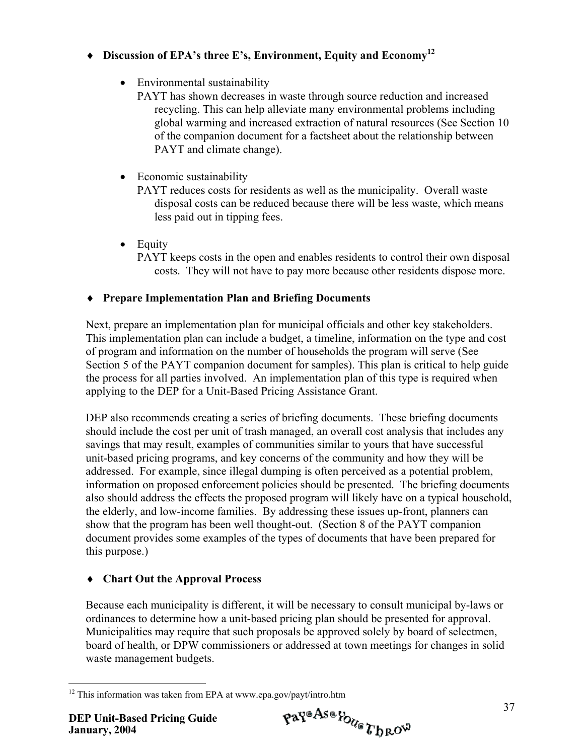# ♦ **Discussion of EPA's three E's, Environment, Equity and Econom[y12](#page-42-0)**

• Environmental sustainability

PAYT has shown decreases in waste through source reduction and increased recycling. This can help alleviate many environmental problems including global warming and increased extraction of natural resources (See Section 10 of the companion document for a factsheet about the relationship between PAYT and climate change).

• Economic sustainability

PAYT reduces costs for residents as well as the municipality. Overall waste disposal costs can be reduced because there will be less waste, which means less paid out in tipping fees.

• Equity PAYT keeps costs in the open and enables residents to control their own disposal costs. They will not have to pay more because other residents dispose more.

# ♦ **Prepare Implementation Plan and Briefing Documents**

Next, prepare an implementation plan for municipal officials and other key stakeholders. This implementation plan can include a budget, a timeline, information on the type and cost of program and information on the number of households the program will serve (See Section 5 of the PAYT companion document for samples). This plan is critical to help guide the process for all parties involved. An implementation plan of this type is required when applying to the DEP for a Unit-Based Pricing Assistance Grant.

DEP also recommends creating a series of briefing documents. These briefing documents should include the cost per unit of trash managed, an overall cost analysis that includes any savings that may result, examples of communities similar to yours that have successful unit-based pricing programs, and key concerns of the community and how they will be addressed. For example, since illegal dumping is often perceived as a potential problem, information on proposed enforcement policies should be presented. The briefing documents also should address the effects the proposed program will likely have on a typical household, the elderly, and low-income families. By addressing these issues up-front, planners can show that the program has been well thought-out. (Section 8 of the PAYT companion document provides some examples of the types of documents that have been prepared for this purpose.)

# ♦ **Chart Out the Approval Process**

Because each municipality is different, it will be necessary to consult municipal by-laws or ordinances to determine how a unit-based pricing plan should be presented for approval. Municipalities may require that such proposals be approved solely by board of selectmen, board of health, or DPW commissioners or addressed at town meetings for changes in solid waste management budgets.

<span id="page-42-0"></span> $\overline{a}$  $12$  This information was taken from EPA at www.epa.gov/payt/intro.htm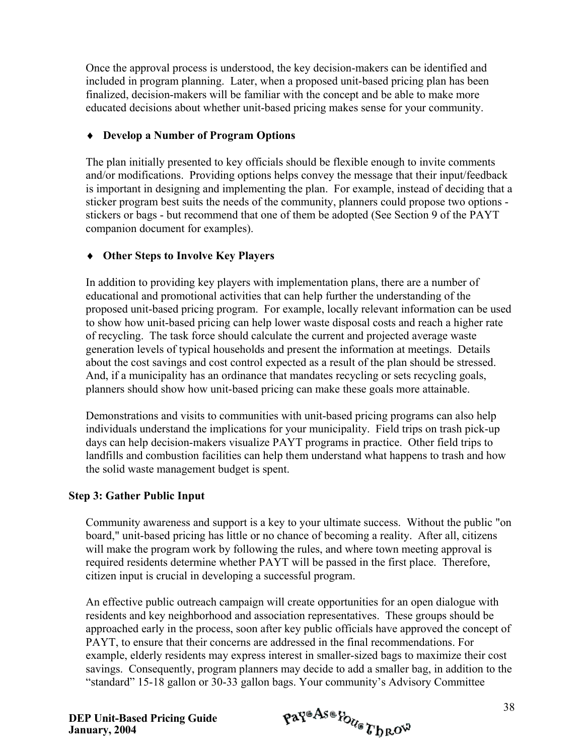Once the approval process is understood, the key decision-makers can be identified and included in program planning. Later, when a proposed unit-based pricing plan has been finalized, decision-makers will be familiar with the concept and be able to make more educated decisions about whether unit-based pricing makes sense for your community.

#### ♦ **Develop a Number of Program Options**

The plan initially presented to key officials should be flexible enough to invite comments and/or modifications. Providing options helps convey the message that their input/feedback is important in designing and implementing the plan. For example, instead of deciding that a sticker program best suits the needs of the community, planners could propose two options stickers or bags - but recommend that one of them be adopted (See Section 9 of the PAYT companion document for examples).

#### ♦ **Other Steps to Involve Key Players**

In addition to providing key players with implementation plans, there are a number of educational and promotional activities that can help further the understanding of the proposed unit-based pricing program. For example, locally relevant information can be used to show how unit-based pricing can help lower waste disposal costs and reach a higher rate of recycling. The task force should calculate the current and projected average waste generation levels of typical households and present the information at meetings. Details about the cost savings and cost control expected as a result of the plan should be stressed. And, if a municipality has an ordinance that mandates recycling or sets recycling goals, planners should show how unit-based pricing can make these goals more attainable.

Demonstrations and visits to communities with unit-based pricing programs can also help individuals understand the implications for your municipality. Field trips on trash pick-up days can help decision-makers visualize PAYT programs in practice. Other field trips to landfills and combustion facilities can help them understand what happens to trash and how the solid waste management budget is spent.

#### **Step 3: Gather Public Input**

Community awareness and support is a key to your ultimate success. Without the public "on board," unit-based pricing has little or no chance of becoming a reality. After all, citizens will make the program work by following the rules, and where town meeting approval is required residents determine whether PAYT will be passed in the first place. Therefore, citizen input is crucial in developing a successful program.

An effective public outreach campaign will create opportunities for an open dialogue with residents and key neighborhood and association representatives. These groups should be approached early in the process, soon after key public officials have approved the concept of PAYT, to ensure that their concerns are addressed in the final recommendations. For example, elderly residents may express interest in smaller-sized bags to maximize their cost savings. Consequently, program planners may decide to add a smaller bag, in addition to the "standard" 15-18 gallon or 30-33 gallon bags. Your community's Advisory Committee

$$
\mathfrak{p} \mathfrak{a} \mathfrak{p}^{\mathfrak{a} \mathcal{A} \mathfrak{s} \mathfrak{a}} \mathfrak{p}_{\mathcal{O}_{\mathcal{U}_{\mathfrak{S}}}} \mathfrak{p}_{\mathfrak{b} \mathfrak{b}} \mathfrak{c}^{\mathfrak{g}}
$$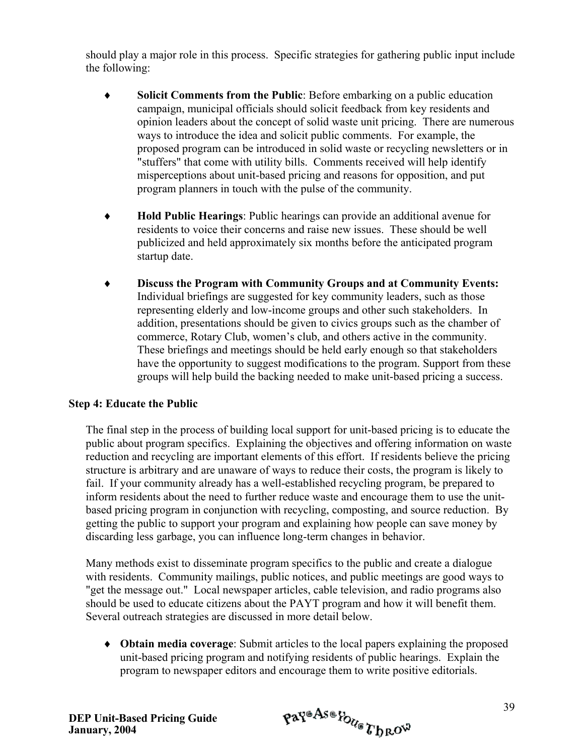should play a major role in this process. Specific strategies for gathering public input include the following:

- ♦ **Solicit Comments from the Public**: Before embarking on a public education campaign, municipal officials should solicit feedback from key residents and opinion leaders about the concept of solid waste unit pricing. There are numerous ways to introduce the idea and solicit public comments. For example, the proposed program can be introduced in solid waste or recycling newsletters or in "stuffers" that come with utility bills. Comments received will help identify misperceptions about unit-based pricing and reasons for opposition, and put program planners in touch with the pulse of the community.
- ♦ **Hold Public Hearings**: Public hearings can provide an additional avenue for residents to voice their concerns and raise new issues. These should be well publicized and held approximately six months before the anticipated program startup date.
- ♦ **Discuss the Program with Community Groups and at Community Events:** Individual briefings are suggested for key community leaders, such as those representing elderly and low-income groups and other such stakeholders. In addition, presentations should be given to civics groups such as the chamber of commerce, Rotary Club, women's club, and others active in the community. These briefings and meetings should be held early enough so that stakeholders have the opportunity to suggest modifications to the program. Support from these groups will help build the backing needed to make unit-based pricing a success.

#### **Step 4: Educate the Public**

The final step in the process of building local support for unit-based pricing is to educate the public about program specifics. Explaining the objectives and offering information on waste reduction and recycling are important elements of this effort. If residents believe the pricing structure is arbitrary and are unaware of ways to reduce their costs, the program is likely to fail. If your community already has a well-established recycling program, be prepared to inform residents about the need to further reduce waste and encourage them to use the unitbased pricing program in conjunction with recycling, composting, and source reduction. By getting the public to support your program and explaining how people can save money by discarding less garbage, you can influence long-term changes in behavior.

Many methods exist to disseminate program specifics to the public and create a dialogue with residents. Community mailings, public notices, and public meetings are good ways to "get the message out." Local newspaper articles, cable television, and radio programs also should be used to educate citizens about the PAYT program and how it will benefit them. Several outreach strategies are discussed in more detail below.

♦ **Obtain media coverage**: Submit articles to the local papers explaining the proposed unit-based pricing program and notifying residents of public hearings. Explain the program to newspaper editors and encourage them to write positive editorials.

$$
\mathfrak{p} \mathfrak{a} \mathfrak{r}^{\mathfrak{a} \mathfrak{A} \mathfrak{s} \mathfrak{a}} \mathfrak{p}_{\mathcal{U}_{\mathfrak{G}}} \mathfrak{r}_{\mathfrak{h} \mathfrak{R} \mathfrak{O}^{\mathfrak{W}}}
$$